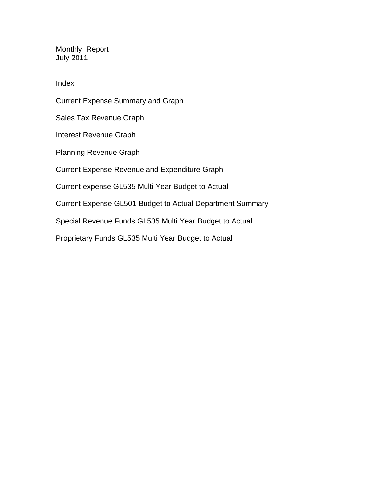Monthly Report July 2011

Index

Current Expense Summary and Graph Sales Tax Revenue Graph Interest Revenue Graph Planning Revenue Graph Current Expense Revenue and Expenditure Graph Current expense GL535 Multi Year Budget to Actual Current Expense GL501 Budget to Actual Department Summary Special Revenue Funds GL535 Multi Year Budget to Actual

Proprietary Funds GL535 Multi Year Budget to Actual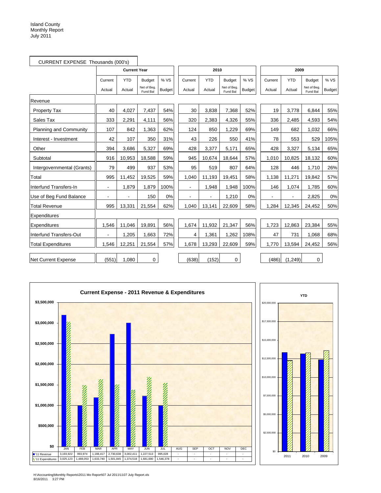| CURRENT EXPENSE Thousands (000's) |                |                     |                         |               |         |            |                        |               |                |            |                         |               |
|-----------------------------------|----------------|---------------------|-------------------------|---------------|---------|------------|------------------------|---------------|----------------|------------|-------------------------|---------------|
|                                   |                | <b>Current Year</b> |                         |               |         | 2010       |                        |               |                | 2009       |                         |               |
|                                   | Current        | <b>YTD</b>          | <b>Budget</b>           | % VS          | Current | <b>YTD</b> | <b>Budget</b>          | % VS          | Current        | <b>YTD</b> | <b>Budget</b>           | % VS          |
|                                   | Actual         | Actual              | Net of Beg.<br>Fund Bal | <b>Budget</b> | Actual  | Actual     | Net of Beg<br>Fund Bal | <b>Budget</b> | Actual         | Actual     | Net of Beg.<br>Fund Bal | <b>Budget</b> |
| Revenue                           |                |                     |                         |               |         |            |                        |               |                |            |                         |               |
| <b>Property Tax</b>               | 40             | 4,027               | 7,437                   | 54%           | 30      | 3,838      | 7,368                  | 52%           | 19             | 3,778      | 6,844                   | 55%           |
| Sales Tax                         | 333            | 2,291               | 4,111                   | 56%           | 320     | 2,383      | 4,326                  | 55%           | 336            | 2,485      | 4,593                   | 54%           |
| <b>Planning and Community</b>     | 107            | 842                 | 1,363                   | 62%           | 124     | 850        | 1,229                  | 69%           | 149            | 682        | 1,032                   | 66%           |
| Interest - Investment             | 42             | 107                 | 350                     | 31%           | 43      | 226        | 550                    | 41%           | 78             | 553        | 529                     | 105%          |
| Other                             | 394            | 3,686               | 5,327                   | 69%           | 428     | 3,377      | 5,171                  | 65%           | 428            | 3,327      | 5,134                   | 65%           |
| Subtotal                          | 916            | 10,953              | 18,588                  | 59%           | 945     | 10.674     | 18,644                 | 57%           | 1,010          | 10,825     | 18,132                  | 60%           |
| Intergovernmental (Grants)        | 79             | 499                 | 937                     | 53%           | 95      | 519        | 807                    | 64%           | 128            | 446        | 1,710                   | 26%           |
| Total                             | 995            | 11,452              | 19,525                  | 59%           | 1,040   | 11,193     | 19,451                 | 58%           | 1,138          | 11,271     | 19,842                  | 57%           |
| Interfund Transfers-In            | $\blacksquare$ | 1,879               | 1,879                   | 100%          |         | 1,948      | 1,948                  | 100%          | 146            | 1,074      | 1.785                   | 60%           |
| Use of Beg Fund Balance           | $\blacksquare$ | $\blacksquare$      | 150                     | 0%            |         |            | 1,210                  | 0%            | $\blacksquare$ |            | 2,825                   | 0%            |
| <b>Total Revenue</b>              | 995            | 13,331              | 21,554                  | 62%           | 1,040   | 13,141     | 22,609                 | 58%           | 1,284          | 12,345     | 24,452                  | 50%           |
| Expenditures                      |                |                     |                         |               |         |            |                        |               |                |            |                         |               |
| Expenditures                      | 1,546          | 11,046              | 19,891                  | 56%           | 1,674   | 11,932     | 21,347                 | 56%           | 1,723          | 12,863     | 23,384                  | 55%           |
| Interfund Transfers-Out           |                | 1,205               | 1,663                   | 72%           | 4       | 1,361      | 1,262                  | 108%          | 47             | 731        | 1,068                   | 68%           |
| <b>Total Expenditures</b>         | 1,546          | 12,251              | 21,554                  | 57%           | 1,678   | 13,293     | 22,609                 | 59%           | 1,770          | 13,594     | 24,452                  | 56%           |
| Net Current Expense               | (551)          | 1,080               | 0                       |               | (638)   | (152)      | 0                      |               | (486)          | (1, 249)   | $\mathbf 0$             |               |



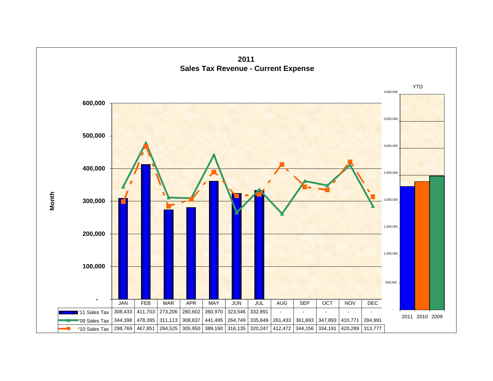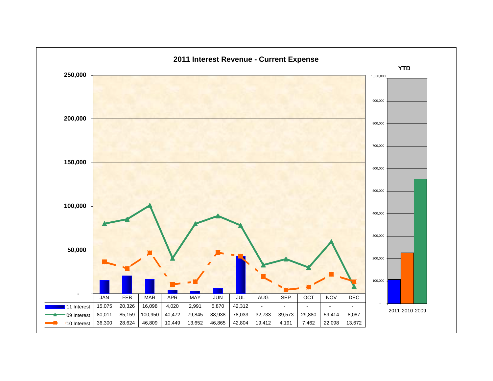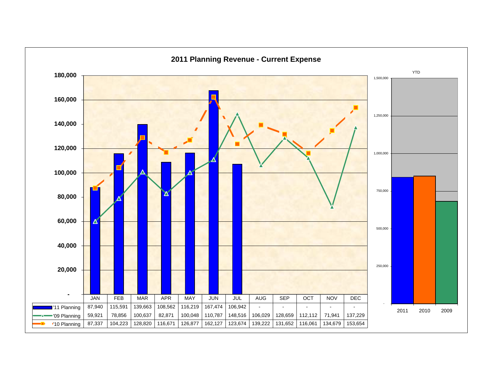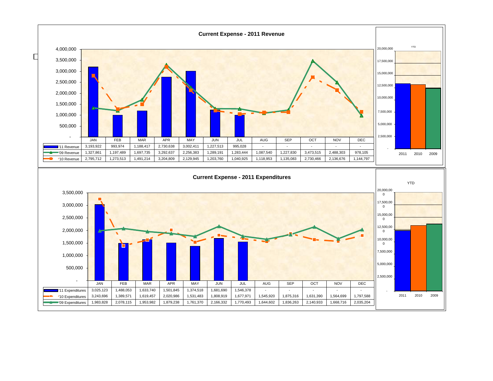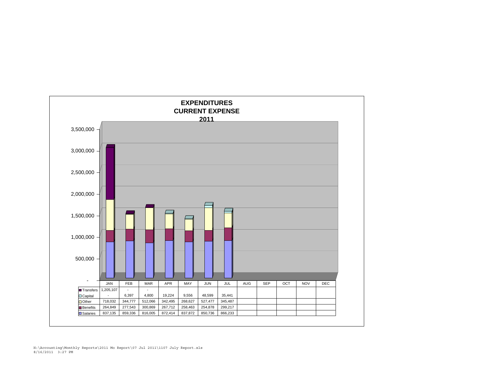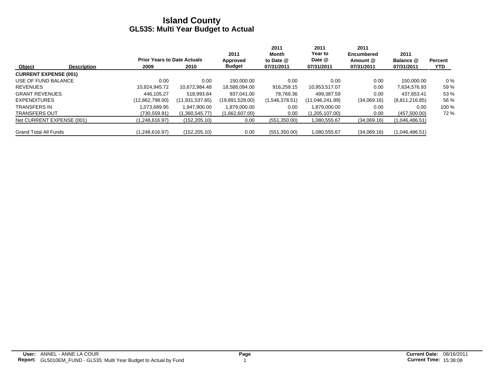|                              |                    |                                    |                   | 2011            | 2011<br>Month  | 2011<br>Year to | 2011<br><b>Encumbered</b> | 2011           |                |
|------------------------------|--------------------|------------------------------------|-------------------|-----------------|----------------|-----------------|---------------------------|----------------|----------------|
|                              |                    | <b>Prior Years to Date Actuals</b> |                   | Approved        | to Date @      | Date @          | Amount @                  | Balance @      | <b>Percent</b> |
| Object                       | <b>Description</b> | 2009                               | 2010              | <b>Budget</b>   | 07/31/2011     | 07/31/2011      | 07/31/2011                | 07/31/2011     | <b>YTD</b>     |
| <b>CURRENT EXPENSE (001)</b> |                    |                                    |                   |                 |                |                 |                           |                |                |
| USE OF FUND BALANCE          |                    | 0.00                               | 0.00              | 150.000.00      | 0.00           | 0.00            | 0.00                      | 150.000.00     | $0\%$          |
| <b>REVENUES</b>              |                    | 10.824.945.72                      | 10.672.984.48     | 18,588,094.00   | 916,259.15     | 10,953,517.07   | 0.00                      | 7,634,576.93   | 59 %           |
| <b>GRANT REVENUES</b>        |                    | 446.105.27                         | 518.993.84        | 937.041.00      | 78.769.36      | 499.387.59      | 0.00                      | 437.653.41     | 53 %           |
| <b>EXPENDITURES</b>          |                    | (12,862,798.00)                    | (11, 931, 537.65) | (19,891,528.00) | (1,546,378.51) | (11,046,241.99) | (34,069.16)               | (8,811,216.85) | 56 %           |
| <b>TRANSFERS IN</b>          |                    | 1.073.689.95                       | 1.947.900.00      | 1,879,000.00    | 0.00           | 1.879.000.00    | 0.00                      | 0.00           | 100 %          |
| <b>TRANSFERS OUT</b>         |                    | (730,559.91)                       | (1,360,545.77)    | (1,662,607.00)  | 0.00           | (1,205,107.00)  | 0.00                      | (457,500.00)   | 72 %           |
| Net CURRENT EXPENSE (001)    |                    | (1.248.616.97)                     | (152, 205.10)     | 0.00            | (551,350.00)   | 1,080,555.67    | (34,069.16)               | (1,046,486.51) |                |
| <b>Grand Total All Funds</b> |                    | (1,248,616.97)                     | (152, 205.10)     | 0.00            | (551, 350.00)  | 1,080,555.67    | (34,069.16)               | (1,046,486.51) |                |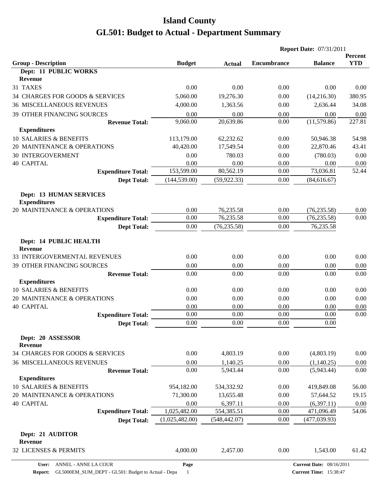| <b>YTD</b><br><b>Budget</b><br><b>Encumbrance</b><br><b>Balance</b><br><b>Actual</b><br>Dept: 11 PUBLIC WORKS<br><b>Revenue</b><br>31 TAXES<br>0.00<br>0.00<br>0.00<br>0.00<br>0.00<br>380.95<br>34 CHARGES FOR GOODS & SERVICES<br>5,060.00<br>19,276.30<br>0.00<br>(14,216.30)<br><b>36 MISCELLANEOUS REVENUES</b><br>4,000.00<br>2,636.44<br>34.08<br>1,363.56<br>0.00<br><b>39 OTHER FINANCING SOURCES</b><br>0.00<br>0.00<br>0.00<br>0.00<br>0.00<br>227.81<br>9,060.00<br>20,639.86<br>(11,579.86)<br>0.00<br><b>Revenue Total:</b><br><b>Expenditures</b><br>10 SALARIES & BENEFITS<br>113,179.00<br>0.00<br>62,232.62<br>50,946.38<br>54.98<br>40,420.00<br>20 MAINTENANCE & OPERATIONS<br>17,549.54<br>0.00<br>22,870.46<br>43.41<br><b>30 INTERGOVERMENT</b><br>0.00<br>780.03<br>0.00<br>(780.03)<br>0.00<br>0.00<br>0.00<br>0.00<br>0.00<br>0.00<br>153,599.00<br>80,562.19<br>73,036.81<br>52.44<br>0.00<br><b>Expenditure Total:</b><br>(144, 539.00)<br>0.00<br><b>Dept Total:</b><br>(59, 922.33)<br>(84, 616.67)<br><b>Dept: 13 HUMAN SERVICES</b><br><b>Expenditures</b><br>20 MAINTENANCE & OPERATIONS<br>0.00<br>76,235.58<br>0.00<br>(76, 235.58)<br>0.00<br>0.00<br>76,235.58<br>0.00<br>0.00<br>(76, 235.58)<br><b>Expenditure Total:</b><br>(76, 235.58)<br>0.00<br>76,235.58<br>0.00<br><b>Dept Total:</b><br>Dept: 14 PUBLIC HEALTH<br><b>Revenue</b><br>0.00<br>0.00<br>0.00<br>0.00<br>0.00<br>0.00<br>0.00<br>0.00<br>0.00<br>0.00<br>0.00<br>0.00<br>0.00<br>0.00<br>0.00<br><b>Revenue Total:</b><br><b>Expenditures</b><br>10 SALARIES & BENEFITS<br>0.00<br>0.00<br>0.00<br>0.00<br>0.00<br>20 MAINTENANCE & OPERATIONS<br>0.00<br>0.00<br>0.00<br>0.00<br>0.00<br><b>40 CAPITAL</b><br>0.00<br>0.00<br>0.00<br>0.00<br>0.00<br>0.00<br>0.00<br>0.00<br>0.00<br>0.00<br><b>Expenditure Total:</b><br>0.00<br>0.00<br>$0.00\,$<br>0.00<br><b>Dept Total:</b><br>Dept: 20 ASSESSOR<br><b>Revenue</b><br>0.00<br>4,803.19<br>0.00<br>(4,803.19)<br>0.00<br>0.00<br>0.00<br>(1,140.25)<br>1,140.25<br>0.00<br>0.00<br>5,943.44<br>0.00<br>(5,943.44)<br>0.00<br><b>Revenue Total:</b><br><b>Expenditures</b><br>10 SALARIES & BENEFITS<br>954,182.00<br>534,332.92<br>0.00<br>419,849.08<br>56.00<br>20 MAINTENANCE & OPERATIONS<br>71,300.00<br>13,655.48<br>0.00<br>57,644.52<br>19.15<br><b>40 CAPITAL</b><br>0.00<br>6,397.11<br>0.00<br>(6,397.11)<br>0.00<br>1,025,482.00<br><b>Expenditure Total:</b><br>554,385.51<br>0.00<br>471,096.49<br>54.06<br>(1,025,482.00)<br>(548, 442.07)<br>0.00<br>(477, 039.93)<br><b>Dept Total:</b><br>Dept: 21 AUDITOR<br><b>Revenue</b><br>4,000.00<br>0.00<br>2,457.00<br>1,543.00<br>61.42 |                                  |  | <b>Report Date: 07/31/2011</b> |  |         |
|---------------------------------------------------------------------------------------------------------------------------------------------------------------------------------------------------------------------------------------------------------------------------------------------------------------------------------------------------------------------------------------------------------------------------------------------------------------------------------------------------------------------------------------------------------------------------------------------------------------------------------------------------------------------------------------------------------------------------------------------------------------------------------------------------------------------------------------------------------------------------------------------------------------------------------------------------------------------------------------------------------------------------------------------------------------------------------------------------------------------------------------------------------------------------------------------------------------------------------------------------------------------------------------------------------------------------------------------------------------------------------------------------------------------------------------------------------------------------------------------------------------------------------------------------------------------------------------------------------------------------------------------------------------------------------------------------------------------------------------------------------------------------------------------------------------------------------------------------------------------------------------------------------------------------------------------------------------------------------------------------------------------------------------------------------------------------------------------------------------------------------------------------------------------------------------------------------------------------------------------------------------------------------------------------------------------------------------------------------------------------------------------------------------------------------------------------------------------------------------------------------------------------------------------------------------------------------------------------------------------------------------------------------------------|----------------------------------|--|--------------------------------|--|---------|
|                                                                                                                                                                                                                                                                                                                                                                                                                                                                                                                                                                                                                                                                                                                                                                                                                                                                                                                                                                                                                                                                                                                                                                                                                                                                                                                                                                                                                                                                                                                                                                                                                                                                                                                                                                                                                                                                                                                                                                                                                                                                                                                                                                                                                                                                                                                                                                                                                                                                                                                                                                                                                                                                     | <b>Group - Description</b>       |  |                                |  | Percent |
|                                                                                                                                                                                                                                                                                                                                                                                                                                                                                                                                                                                                                                                                                                                                                                                                                                                                                                                                                                                                                                                                                                                                                                                                                                                                                                                                                                                                                                                                                                                                                                                                                                                                                                                                                                                                                                                                                                                                                                                                                                                                                                                                                                                                                                                                                                                                                                                                                                                                                                                                                                                                                                                                     |                                  |  |                                |  |         |
|                                                                                                                                                                                                                                                                                                                                                                                                                                                                                                                                                                                                                                                                                                                                                                                                                                                                                                                                                                                                                                                                                                                                                                                                                                                                                                                                                                                                                                                                                                                                                                                                                                                                                                                                                                                                                                                                                                                                                                                                                                                                                                                                                                                                                                                                                                                                                                                                                                                                                                                                                                                                                                                                     |                                  |  |                                |  |         |
|                                                                                                                                                                                                                                                                                                                                                                                                                                                                                                                                                                                                                                                                                                                                                                                                                                                                                                                                                                                                                                                                                                                                                                                                                                                                                                                                                                                                                                                                                                                                                                                                                                                                                                                                                                                                                                                                                                                                                                                                                                                                                                                                                                                                                                                                                                                                                                                                                                                                                                                                                                                                                                                                     |                                  |  |                                |  |         |
|                                                                                                                                                                                                                                                                                                                                                                                                                                                                                                                                                                                                                                                                                                                                                                                                                                                                                                                                                                                                                                                                                                                                                                                                                                                                                                                                                                                                                                                                                                                                                                                                                                                                                                                                                                                                                                                                                                                                                                                                                                                                                                                                                                                                                                                                                                                                                                                                                                                                                                                                                                                                                                                                     |                                  |  |                                |  |         |
|                                                                                                                                                                                                                                                                                                                                                                                                                                                                                                                                                                                                                                                                                                                                                                                                                                                                                                                                                                                                                                                                                                                                                                                                                                                                                                                                                                                                                                                                                                                                                                                                                                                                                                                                                                                                                                                                                                                                                                                                                                                                                                                                                                                                                                                                                                                                                                                                                                                                                                                                                                                                                                                                     |                                  |  |                                |  |         |
|                                                                                                                                                                                                                                                                                                                                                                                                                                                                                                                                                                                                                                                                                                                                                                                                                                                                                                                                                                                                                                                                                                                                                                                                                                                                                                                                                                                                                                                                                                                                                                                                                                                                                                                                                                                                                                                                                                                                                                                                                                                                                                                                                                                                                                                                                                                                                                                                                                                                                                                                                                                                                                                                     |                                  |  |                                |  |         |
|                                                                                                                                                                                                                                                                                                                                                                                                                                                                                                                                                                                                                                                                                                                                                                                                                                                                                                                                                                                                                                                                                                                                                                                                                                                                                                                                                                                                                                                                                                                                                                                                                                                                                                                                                                                                                                                                                                                                                                                                                                                                                                                                                                                                                                                                                                                                                                                                                                                                                                                                                                                                                                                                     |                                  |  |                                |  |         |
|                                                                                                                                                                                                                                                                                                                                                                                                                                                                                                                                                                                                                                                                                                                                                                                                                                                                                                                                                                                                                                                                                                                                                                                                                                                                                                                                                                                                                                                                                                                                                                                                                                                                                                                                                                                                                                                                                                                                                                                                                                                                                                                                                                                                                                                                                                                                                                                                                                                                                                                                                                                                                                                                     |                                  |  |                                |  |         |
|                                                                                                                                                                                                                                                                                                                                                                                                                                                                                                                                                                                                                                                                                                                                                                                                                                                                                                                                                                                                                                                                                                                                                                                                                                                                                                                                                                                                                                                                                                                                                                                                                                                                                                                                                                                                                                                                                                                                                                                                                                                                                                                                                                                                                                                                                                                                                                                                                                                                                                                                                                                                                                                                     |                                  |  |                                |  |         |
|                                                                                                                                                                                                                                                                                                                                                                                                                                                                                                                                                                                                                                                                                                                                                                                                                                                                                                                                                                                                                                                                                                                                                                                                                                                                                                                                                                                                                                                                                                                                                                                                                                                                                                                                                                                                                                                                                                                                                                                                                                                                                                                                                                                                                                                                                                                                                                                                                                                                                                                                                                                                                                                                     |                                  |  |                                |  |         |
|                                                                                                                                                                                                                                                                                                                                                                                                                                                                                                                                                                                                                                                                                                                                                                                                                                                                                                                                                                                                                                                                                                                                                                                                                                                                                                                                                                                                                                                                                                                                                                                                                                                                                                                                                                                                                                                                                                                                                                                                                                                                                                                                                                                                                                                                                                                                                                                                                                                                                                                                                                                                                                                                     | <b>40 CAPITAL</b>                |  |                                |  |         |
|                                                                                                                                                                                                                                                                                                                                                                                                                                                                                                                                                                                                                                                                                                                                                                                                                                                                                                                                                                                                                                                                                                                                                                                                                                                                                                                                                                                                                                                                                                                                                                                                                                                                                                                                                                                                                                                                                                                                                                                                                                                                                                                                                                                                                                                                                                                                                                                                                                                                                                                                                                                                                                                                     |                                  |  |                                |  |         |
|                                                                                                                                                                                                                                                                                                                                                                                                                                                                                                                                                                                                                                                                                                                                                                                                                                                                                                                                                                                                                                                                                                                                                                                                                                                                                                                                                                                                                                                                                                                                                                                                                                                                                                                                                                                                                                                                                                                                                                                                                                                                                                                                                                                                                                                                                                                                                                                                                                                                                                                                                                                                                                                                     |                                  |  |                                |  |         |
|                                                                                                                                                                                                                                                                                                                                                                                                                                                                                                                                                                                                                                                                                                                                                                                                                                                                                                                                                                                                                                                                                                                                                                                                                                                                                                                                                                                                                                                                                                                                                                                                                                                                                                                                                                                                                                                                                                                                                                                                                                                                                                                                                                                                                                                                                                                                                                                                                                                                                                                                                                                                                                                                     |                                  |  |                                |  |         |
|                                                                                                                                                                                                                                                                                                                                                                                                                                                                                                                                                                                                                                                                                                                                                                                                                                                                                                                                                                                                                                                                                                                                                                                                                                                                                                                                                                                                                                                                                                                                                                                                                                                                                                                                                                                                                                                                                                                                                                                                                                                                                                                                                                                                                                                                                                                                                                                                                                                                                                                                                                                                                                                                     |                                  |  |                                |  |         |
|                                                                                                                                                                                                                                                                                                                                                                                                                                                                                                                                                                                                                                                                                                                                                                                                                                                                                                                                                                                                                                                                                                                                                                                                                                                                                                                                                                                                                                                                                                                                                                                                                                                                                                                                                                                                                                                                                                                                                                                                                                                                                                                                                                                                                                                                                                                                                                                                                                                                                                                                                                                                                                                                     |                                  |  |                                |  |         |
|                                                                                                                                                                                                                                                                                                                                                                                                                                                                                                                                                                                                                                                                                                                                                                                                                                                                                                                                                                                                                                                                                                                                                                                                                                                                                                                                                                                                                                                                                                                                                                                                                                                                                                                                                                                                                                                                                                                                                                                                                                                                                                                                                                                                                                                                                                                                                                                                                                                                                                                                                                                                                                                                     |                                  |  |                                |  |         |
|                                                                                                                                                                                                                                                                                                                                                                                                                                                                                                                                                                                                                                                                                                                                                                                                                                                                                                                                                                                                                                                                                                                                                                                                                                                                                                                                                                                                                                                                                                                                                                                                                                                                                                                                                                                                                                                                                                                                                                                                                                                                                                                                                                                                                                                                                                                                                                                                                                                                                                                                                                                                                                                                     |                                  |  |                                |  |         |
|                                                                                                                                                                                                                                                                                                                                                                                                                                                                                                                                                                                                                                                                                                                                                                                                                                                                                                                                                                                                                                                                                                                                                                                                                                                                                                                                                                                                                                                                                                                                                                                                                                                                                                                                                                                                                                                                                                                                                                                                                                                                                                                                                                                                                                                                                                                                                                                                                                                                                                                                                                                                                                                                     | 33 INTERGOVERMENTAL REVENUES     |  |                                |  |         |
|                                                                                                                                                                                                                                                                                                                                                                                                                                                                                                                                                                                                                                                                                                                                                                                                                                                                                                                                                                                                                                                                                                                                                                                                                                                                                                                                                                                                                                                                                                                                                                                                                                                                                                                                                                                                                                                                                                                                                                                                                                                                                                                                                                                                                                                                                                                                                                                                                                                                                                                                                                                                                                                                     | 39 OTHER FINANCING SOURCES       |  |                                |  |         |
|                                                                                                                                                                                                                                                                                                                                                                                                                                                                                                                                                                                                                                                                                                                                                                                                                                                                                                                                                                                                                                                                                                                                                                                                                                                                                                                                                                                                                                                                                                                                                                                                                                                                                                                                                                                                                                                                                                                                                                                                                                                                                                                                                                                                                                                                                                                                                                                                                                                                                                                                                                                                                                                                     |                                  |  |                                |  |         |
|                                                                                                                                                                                                                                                                                                                                                                                                                                                                                                                                                                                                                                                                                                                                                                                                                                                                                                                                                                                                                                                                                                                                                                                                                                                                                                                                                                                                                                                                                                                                                                                                                                                                                                                                                                                                                                                                                                                                                                                                                                                                                                                                                                                                                                                                                                                                                                                                                                                                                                                                                                                                                                                                     |                                  |  |                                |  |         |
|                                                                                                                                                                                                                                                                                                                                                                                                                                                                                                                                                                                                                                                                                                                                                                                                                                                                                                                                                                                                                                                                                                                                                                                                                                                                                                                                                                                                                                                                                                                                                                                                                                                                                                                                                                                                                                                                                                                                                                                                                                                                                                                                                                                                                                                                                                                                                                                                                                                                                                                                                                                                                                                                     |                                  |  |                                |  |         |
|                                                                                                                                                                                                                                                                                                                                                                                                                                                                                                                                                                                                                                                                                                                                                                                                                                                                                                                                                                                                                                                                                                                                                                                                                                                                                                                                                                                                                                                                                                                                                                                                                                                                                                                                                                                                                                                                                                                                                                                                                                                                                                                                                                                                                                                                                                                                                                                                                                                                                                                                                                                                                                                                     |                                  |  |                                |  |         |
|                                                                                                                                                                                                                                                                                                                                                                                                                                                                                                                                                                                                                                                                                                                                                                                                                                                                                                                                                                                                                                                                                                                                                                                                                                                                                                                                                                                                                                                                                                                                                                                                                                                                                                                                                                                                                                                                                                                                                                                                                                                                                                                                                                                                                                                                                                                                                                                                                                                                                                                                                                                                                                                                     |                                  |  |                                |  |         |
|                                                                                                                                                                                                                                                                                                                                                                                                                                                                                                                                                                                                                                                                                                                                                                                                                                                                                                                                                                                                                                                                                                                                                                                                                                                                                                                                                                                                                                                                                                                                                                                                                                                                                                                                                                                                                                                                                                                                                                                                                                                                                                                                                                                                                                                                                                                                                                                                                                                                                                                                                                                                                                                                     |                                  |  |                                |  |         |
|                                                                                                                                                                                                                                                                                                                                                                                                                                                                                                                                                                                                                                                                                                                                                                                                                                                                                                                                                                                                                                                                                                                                                                                                                                                                                                                                                                                                                                                                                                                                                                                                                                                                                                                                                                                                                                                                                                                                                                                                                                                                                                                                                                                                                                                                                                                                                                                                                                                                                                                                                                                                                                                                     |                                  |  |                                |  |         |
|                                                                                                                                                                                                                                                                                                                                                                                                                                                                                                                                                                                                                                                                                                                                                                                                                                                                                                                                                                                                                                                                                                                                                                                                                                                                                                                                                                                                                                                                                                                                                                                                                                                                                                                                                                                                                                                                                                                                                                                                                                                                                                                                                                                                                                                                                                                                                                                                                                                                                                                                                                                                                                                                     |                                  |  |                                |  |         |
|                                                                                                                                                                                                                                                                                                                                                                                                                                                                                                                                                                                                                                                                                                                                                                                                                                                                                                                                                                                                                                                                                                                                                                                                                                                                                                                                                                                                                                                                                                                                                                                                                                                                                                                                                                                                                                                                                                                                                                                                                                                                                                                                                                                                                                                                                                                                                                                                                                                                                                                                                                                                                                                                     | 34 CHARGES FOR GOODS & SERVICES  |  |                                |  |         |
|                                                                                                                                                                                                                                                                                                                                                                                                                                                                                                                                                                                                                                                                                                                                                                                                                                                                                                                                                                                                                                                                                                                                                                                                                                                                                                                                                                                                                                                                                                                                                                                                                                                                                                                                                                                                                                                                                                                                                                                                                                                                                                                                                                                                                                                                                                                                                                                                                                                                                                                                                                                                                                                                     | <b>36 MISCELLANEOUS REVENUES</b> |  |                                |  |         |
|                                                                                                                                                                                                                                                                                                                                                                                                                                                                                                                                                                                                                                                                                                                                                                                                                                                                                                                                                                                                                                                                                                                                                                                                                                                                                                                                                                                                                                                                                                                                                                                                                                                                                                                                                                                                                                                                                                                                                                                                                                                                                                                                                                                                                                                                                                                                                                                                                                                                                                                                                                                                                                                                     |                                  |  |                                |  |         |
|                                                                                                                                                                                                                                                                                                                                                                                                                                                                                                                                                                                                                                                                                                                                                                                                                                                                                                                                                                                                                                                                                                                                                                                                                                                                                                                                                                                                                                                                                                                                                                                                                                                                                                                                                                                                                                                                                                                                                                                                                                                                                                                                                                                                                                                                                                                                                                                                                                                                                                                                                                                                                                                                     |                                  |  |                                |  |         |
|                                                                                                                                                                                                                                                                                                                                                                                                                                                                                                                                                                                                                                                                                                                                                                                                                                                                                                                                                                                                                                                                                                                                                                                                                                                                                                                                                                                                                                                                                                                                                                                                                                                                                                                                                                                                                                                                                                                                                                                                                                                                                                                                                                                                                                                                                                                                                                                                                                                                                                                                                                                                                                                                     |                                  |  |                                |  |         |
|                                                                                                                                                                                                                                                                                                                                                                                                                                                                                                                                                                                                                                                                                                                                                                                                                                                                                                                                                                                                                                                                                                                                                                                                                                                                                                                                                                                                                                                                                                                                                                                                                                                                                                                                                                                                                                                                                                                                                                                                                                                                                                                                                                                                                                                                                                                                                                                                                                                                                                                                                                                                                                                                     |                                  |  |                                |  |         |
|                                                                                                                                                                                                                                                                                                                                                                                                                                                                                                                                                                                                                                                                                                                                                                                                                                                                                                                                                                                                                                                                                                                                                                                                                                                                                                                                                                                                                                                                                                                                                                                                                                                                                                                                                                                                                                                                                                                                                                                                                                                                                                                                                                                                                                                                                                                                                                                                                                                                                                                                                                                                                                                                     |                                  |  |                                |  |         |
|                                                                                                                                                                                                                                                                                                                                                                                                                                                                                                                                                                                                                                                                                                                                                                                                                                                                                                                                                                                                                                                                                                                                                                                                                                                                                                                                                                                                                                                                                                                                                                                                                                                                                                                                                                                                                                                                                                                                                                                                                                                                                                                                                                                                                                                                                                                                                                                                                                                                                                                                                                                                                                                                     |                                  |  |                                |  |         |
|                                                                                                                                                                                                                                                                                                                                                                                                                                                                                                                                                                                                                                                                                                                                                                                                                                                                                                                                                                                                                                                                                                                                                                                                                                                                                                                                                                                                                                                                                                                                                                                                                                                                                                                                                                                                                                                                                                                                                                                                                                                                                                                                                                                                                                                                                                                                                                                                                                                                                                                                                                                                                                                                     |                                  |  |                                |  |         |
|                                                                                                                                                                                                                                                                                                                                                                                                                                                                                                                                                                                                                                                                                                                                                                                                                                                                                                                                                                                                                                                                                                                                                                                                                                                                                                                                                                                                                                                                                                                                                                                                                                                                                                                                                                                                                                                                                                                                                                                                                                                                                                                                                                                                                                                                                                                                                                                                                                                                                                                                                                                                                                                                     |                                  |  |                                |  |         |
|                                                                                                                                                                                                                                                                                                                                                                                                                                                                                                                                                                                                                                                                                                                                                                                                                                                                                                                                                                                                                                                                                                                                                                                                                                                                                                                                                                                                                                                                                                                                                                                                                                                                                                                                                                                                                                                                                                                                                                                                                                                                                                                                                                                                                                                                                                                                                                                                                                                                                                                                                                                                                                                                     | 32 LICENSES & PERMITS            |  |                                |  |         |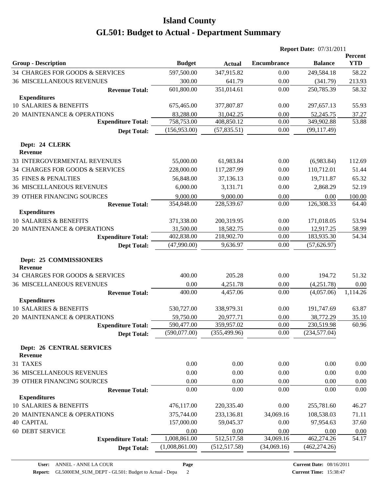|                                                    |                |               | <b>Report Date: 07/31/2011</b> |                |                       |
|----------------------------------------------------|----------------|---------------|--------------------------------|----------------|-----------------------|
| <b>Group - Description</b>                         | <b>Budget</b>  | <b>Actual</b> | <b>Encumbrance</b>             | <b>Balance</b> | Percent<br><b>YTD</b> |
| 34 CHARGES FOR GOODS & SERVICES                    | 597,500.00     | 347,915.82    | 0.00                           | 249,584.18     | 58.22                 |
| <b>36 MISCELLANEOUS REVENUES</b>                   | 300.00         | 641.79        | 0.00                           | (341.79)       | 213.93                |
| <b>Revenue Total:</b>                              | 601,800.00     | 351,014.61    | 0.00                           | 250,785.39     | 58.32                 |
| <b>Expenditures</b>                                |                |               |                                |                |                       |
| 10 SALARIES & BENEFITS                             | 675,465.00     | 377,807.87    | 0.00                           | 297,657.13     | 55.93                 |
| 20 MAINTENANCE & OPERATIONS                        | 83,288.00      | 31,042.25     | 0.00                           | 52,245.75      | 37.27                 |
| <b>Expenditure Total:</b>                          | 758,753.00     | 408,850.12    | 0.00                           | 349,902.88     | 53.88                 |
| <b>Dept Total:</b>                                 | (156,953.00)   | (57, 835.51)  | 0.00                           | (99, 117.49)   |                       |
| Dept: 24 CLERK<br><b>Revenue</b>                   |                |               |                                |                |                       |
| 33 INTERGOVERMENTAL REVENUES                       | 55,000.00      | 61,983.84     | 0.00                           | (6,983.84)     | 112.69                |
| 34 CHARGES FOR GOODS & SERVICES                    | 228,000.00     | 117,287.99    | 0.00                           | 110,712.01     | 51.44                 |
| 35 FINES & PENALTIES                               | 56,848.00      | 37,136.13     | 0.00                           | 19,711.87      | 65.32                 |
| <b>36 MISCELLANEOUS REVENUES</b>                   | 6,000.00       | 3,131.71      | 0.00                           | 2,868.29       | 52.19                 |
| <b>39 OTHER FINANCING SOURCES</b>                  | 9,000.00       | 9,000.00      | 0.00                           | 0.00           | 100.00                |
| <b>Revenue Total:</b>                              | 354,848.00     | 228,539.67    | 0.00                           | 126,308.33     | 64.40                 |
| <b>Expenditures</b>                                |                |               |                                |                |                       |
| 10 SALARIES & BENEFITS                             | 371,338.00     | 200,319.95    | 0.00                           | 171,018.05     | 53.94                 |
| 20 MAINTENANCE & OPERATIONS                        | 31,500.00      | 18,582.75     | 0.00                           | 12,917.25      | 58.99                 |
| <b>Expenditure Total:</b>                          | 402,838.00     | 218,902.70    | 0.00                           | 183,935.30     | 54.34                 |
| <b>Dept Total:</b>                                 | (47,990.00)    | 9,636.97      | 0.00                           | (57, 626.97)   |                       |
| Dept: 25 COMMISSIONERS<br><b>Revenue</b>           |                |               |                                |                |                       |
| 34 CHARGES FOR GOODS & SERVICES                    | 400.00         | 205.28        | 0.00                           | 194.72         | 51.32                 |
| <b>36 MISCELLANEOUS REVENUES</b>                   | 0.00           | 4,251.78      | 0.00                           | (4,251.78)     | 0.00                  |
| <b>Revenue Total:</b>                              | 400.00         | 4,457.06      | 0.00                           | (4,057.06)     | 1,114.26              |
| <b>Expenditures</b>                                |                |               |                                |                |                       |
| 10 SALARIES & BENEFITS                             | 530,727.00     | 338,979.31    | 0.00                           | 191,747.69     | 63.87                 |
| 20 MAINTENANCE & OPERATIONS                        | 59,750.00      | 20,977.71     | 0.00                           | 38,772.29      | 35.10                 |
| <b>Expenditure Total:</b>                          | 590,477.00     | 359,957.02    | $0.00\,$                       | 230,519.98     | 60.96                 |
| <b>Dept Total:</b>                                 | (590,077.00)   | (355, 499.96) | 0.00                           | (234, 577.04)  |                       |
| <b>Dept: 26 CENTRAL SERVICES</b><br><b>Revenue</b> |                |               |                                |                |                       |
| 31 TAXES                                           | 0.00           | 0.00          | 0.00                           | 0.00           | 0.00                  |
| <b>36 MISCELLANEOUS REVENUES</b>                   | 0.00           | 0.00          | 0.00                           | 0.00           | 0.00                  |
| 39 OTHER FINANCING SOURCES                         | 0.00           | 0.00          | 0.00                           | 0.00           | 0.00                  |
| <b>Revenue Total:</b>                              | 0.00           | 0.00          | 0.00                           | 0.00           | 0.00                  |
| <b>Expenditures</b>                                |                |               |                                |                |                       |
| 10 SALARIES & BENEFITS                             | 476,117.00     | 220,335.40    | 0.00                           | 255,781.60     | 46.27                 |
| 20 MAINTENANCE & OPERATIONS                        | 375,744.00     | 233,136.81    | 34,069.16                      | 108,538.03     | 71.11                 |
| <b>40 CAPITAL</b>                                  | 157,000.00     | 59,045.37     | 0.00                           | 97,954.63      | 37.60                 |
| 60 DEBT SERVICE                                    | 0.00           | 0.00          | 0.00                           | 0.00           | 0.00                  |
| <b>Expenditure Total:</b>                          | 1,008,861.00   | 512,517.58    | 34,069.16                      | 462,274.26     | 54.17                 |
| <b>Dept Total:</b>                                 | (1,008,861.00) | (512, 517.58) | (34,069.16)                    | (462, 274.26)  |                       |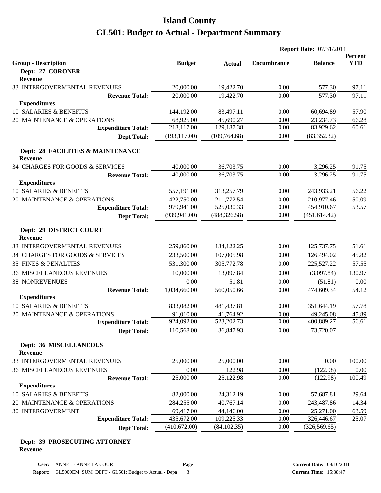|                                                     |               | <b>Report Date: 07/31/2011</b> |                    |                |            |
|-----------------------------------------------------|---------------|--------------------------------|--------------------|----------------|------------|
|                                                     |               |                                |                    |                | Percent    |
| <b>Group - Description</b><br>Dept: 27 CORONER      | <b>Budget</b> | <b>Actual</b>                  | <b>Encumbrance</b> | <b>Balance</b> | <b>YTD</b> |
| <b>Revenue</b>                                      |               |                                |                    |                |            |
| 33 INTERGOVERMENTAL REVENUES                        | 20,000.00     | 19,422.70                      | 0.00               | 577.30         | 97.11      |
| <b>Revenue Total:</b>                               | 20,000.00     | 19,422.70                      | 0.00               | 577.30         | 97.11      |
| <b>Expenditures</b>                                 |               |                                |                    |                |            |
| 10 SALARIES & BENEFITS                              | 144,192.00    | 83,497.11                      | 0.00               | 60,694.89      | 57.90      |
| 20 MAINTENANCE & OPERATIONS                         | 68,925.00     | 45,690.27                      | 0.00               | 23,234.73      | 66.28      |
| <b>Expenditure Total:</b>                           | 213,117.00    | 129,187.38                     | 0.00               | 83,929.62      | 60.61      |
| <b>Dept Total:</b>                                  | (193, 117.00) | (109, 764.68)                  | 0.00               | (83, 352.32)   |            |
| Dept: 28 FACILITIES & MAINTENANCE<br><b>Revenue</b> |               |                                |                    |                |            |
| 34 CHARGES FOR GOODS & SERVICES                     | 40,000.00     | 36,703.75                      | 0.00               | 3,296.25       | 91.75      |
| <b>Revenue Total:</b>                               | 40,000.00     | 36,703.75                      | 0.00               | 3,296.25       | 91.75      |
| <b>Expenditures</b>                                 |               |                                |                    |                |            |
| 10 SALARIES & BENEFITS                              | 557,191.00    | 313,257.79                     | 0.00               | 243,933.21     | 56.22      |
| 20 MAINTENANCE & OPERATIONS                         | 422,750.00    | 211,772.54                     | 0.00               | 210,977.46     | 50.09      |
| <b>Expenditure Total:</b>                           | 979,941.00    | 525,030.33                     | 0.00               | 454,910.67     | 53.57      |
| <b>Dept Total:</b>                                  | (939, 941.00) | (488, 326.58)                  | 0.00               | (451, 614.42)  |            |
| Dept: 29 DISTRICT COURT<br><b>Revenue</b>           |               |                                |                    |                |            |
| 33 INTERGOVERMENTAL REVENUES                        | 259,860.00    | 134,122.25                     | 0.00               | 125,737.75     | 51.61      |
| 34 CHARGES FOR GOODS & SERVICES                     | 233,500.00    | 107,005.98                     | 0.00               | 126,494.02     | 45.82      |
| <b>35 FINES &amp; PENALTIES</b>                     | 531,300.00    | 305,772.78                     | 0.00               | 225,527.22     | 57.55      |
| <b>36 MISCELLANEOUS REVENUES</b>                    | 10,000.00     | 13,097.84                      | 0.00               | (3,097.84)     | 130.97     |
| <b>38 NONREVENUES</b>                               | 0.00          | 51.81                          | 0.00               | (51.81)        | 0.00       |
| <b>Revenue Total:</b>                               | 1,034,660.00  | 560,050.66                     | 0.00               | 474,609.34     | 54.12      |
| <b>Expenditures</b>                                 |               |                                |                    |                |            |
| 10 SALARIES & BENEFITS                              | 833,082.00    | 481,437.81                     | 0.00               | 351,644.19     | 57.78      |
| 20 MAINTENANCE & OPERATIONS                         | 91,010.00     | 41,764.92                      | 0.00               | 49,245.08      | 45.89      |
| <b>Expenditure Total:</b>                           | 924,092.00    | 523,202.73                     | 0.00               | 400,889.27     | 56.61      |
| <b>Dept Total:</b>                                  | 110,568.00    | 36,847.93                      | 0.00               | 73,720.07      |            |
| Dept: 36 MISCELLANEOUS<br><b>Revenue</b>            |               |                                |                    |                |            |
| 33 INTERGOVERMENTAL REVENUES                        | 25,000.00     | 25,000.00                      | 0.00               | 0.00           | 100.00     |
| <b>36 MISCELLANEOUS REVENUES</b>                    | 0.00          | 122.98                         | 0.00               | (122.98)       | 0.00       |
| <b>Revenue Total:</b>                               | 25,000.00     | 25,122.98                      | 0.00               | (122.98)       | 100.49     |
| <b>Expenditures</b>                                 |               |                                |                    |                |            |
| 10 SALARIES & BENEFITS                              | 82,000.00     | 24,312.19                      | 0.00               | 57,687.81      | 29.64      |
| 20 MAINTENANCE & OPERATIONS                         | 284,255.00    | 40,767.14                      | 0.00               | 243,487.86     | 14.34      |
| <b>30 INTERGOVERMENT</b>                            | 69,417.00     | 44,146.00                      | 0.00               | 25,271.00      | 63.59      |
| <b>Expenditure Total:</b>                           | 435,672.00    | 109,225.33                     | 0.00               | 326,446.67     | 25.07      |
| <b>Dept Total:</b>                                  | (410,672.00)  | (84, 102.35)                   | 0.00               | (326, 569.65)  |            |

#### **Dept: 39 PROSECUTING ATTORNEY Revenue**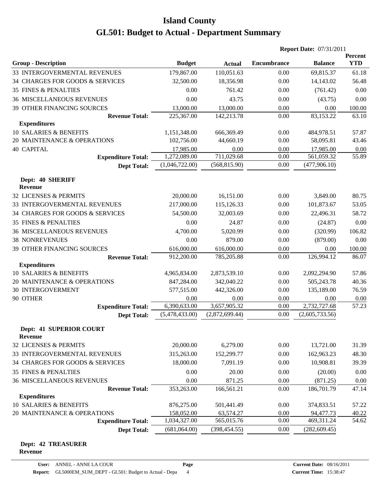|                                                  |                |                | <b>Report Date: 07/31/2011</b> |                |                       |
|--------------------------------------------------|----------------|----------------|--------------------------------|----------------|-----------------------|
| <b>Group - Description</b>                       | <b>Budget</b>  | <b>Actual</b>  | <b>Encumbrance</b>             | <b>Balance</b> | Percent<br><b>YTD</b> |
| 33 INTERGOVERMENTAL REVENUES                     | 179,867.00     | 110,051.63     | 0.00                           | 69,815.37      | 61.18                 |
| 34 CHARGES FOR GOODS & SERVICES                  | 32,500.00      | 18,356.98      | 0.00                           | 14,143.02      | 56.48                 |
| <b>35 FINES &amp; PENALTIES</b>                  | 0.00           | 761.42         | 0.00                           | (761.42)       | 0.00                  |
| <b>36 MISCELLANEOUS REVENUES</b>                 | 0.00           | 43.75          | 0.00                           | (43.75)        | 0.00                  |
| <b>39 OTHER FINANCING SOURCES</b>                | 13,000.00      | 13,000.00      | 0.00                           | 0.00           | 100.00                |
| <b>Revenue Total:</b>                            | 225,367.00     | 142,213.78     | 0.00                           | 83,153.22      | 63.10                 |
| <b>Expenditures</b>                              |                |                |                                |                |                       |
| 10 SALARIES & BENEFITS                           | 1,151,348.00   | 666,369.49     | 0.00                           | 484,978.51     | 57.87                 |
| 20 MAINTENANCE & OPERATIONS                      | 102,756.00     | 44,660.19      | 0.00                           | 58,095.81      | 43.46                 |
| <b>40 CAPITAL</b>                                | 17,985.00      | 0.00           | 0.00                           | 17,985.00      | 0.00                  |
| <b>Expenditure Total:</b>                        | 1,272,089.00   | 711,029.68     | 0.00                           | 561,059.32     | 55.89                 |
| <b>Dept Total:</b>                               | (1,046,722.00) | (568, 815.90)  | 0.00                           | (477,906.10)   |                       |
| Dept: 40 SHERIFF<br><b>Revenue</b>               |                |                |                                |                |                       |
| 32 LICENSES & PERMITS                            | 20,000.00      | 16,151.00      | 0.00                           | 3,849.00       | 80.75                 |
| 33 INTERGOVERMENTAL REVENUES                     | 217,000.00     | 115,126.33     | 0.00                           | 101,873.67     | 53.05                 |
| 34 CHARGES FOR GOODS & SERVICES                  | 54,500.00      | 32,003.69      | 0.00                           | 22,496.31      | 58.72                 |
| <b>35 FINES &amp; PENALTIES</b>                  | 0.00           | 24.87          | 0.00                           | (24.87)        | 0.00                  |
| <b>36 MISCELLANEOUS REVENUES</b>                 | 4,700.00       | 5,020.99       | 0.00                           | (320.99)       | 106.82                |
| <b>38 NONREVENUES</b>                            | 0.00           | 879.00         | 0.00                           | (879.00)       | 0.00                  |
| 39 OTHER FINANCING SOURCES                       | 616,000.00     | 616,000.00     | 0.00                           | 0.00           | 100.00                |
| <b>Revenue Total:</b>                            | 912,200.00     | 785,205.88     | 0.00                           | 126,994.12     | 86.07                 |
| <b>Expenditures</b>                              |                |                |                                |                |                       |
| 10 SALARIES & BENEFITS                           | 4,965,834.00   | 2,873,539.10   | 0.00                           | 2,092,294.90   | 57.86                 |
| 20 MAINTENANCE & OPERATIONS                      | 847,284.00     | 342,040.22     | 0.00                           | 505,243.78     | 40.36                 |
| <b>30 INTERGOVERMENT</b>                         | 577,515.00     | 442,326.00     | 0.00                           | 135,189.00     | 76.59                 |
| 90 OTHER                                         | 0.00           | 0.00           | 0.00                           | 0.00           | 0.00                  |
| <b>Expenditure Total:</b>                        | 6,390,633.00   | 3,657,905.32   | 0.00                           | 2,732,727.68   | 57.23                 |
| <b>Dept Total:</b>                               | (5,478,433.00) | (2,872,699.44) | 0.00                           | (2,605,733.56) |                       |
| <b>Dept: 41 SUPERIOR COURT</b><br><b>Revenue</b> |                |                |                                |                |                       |
| 32 LICENSES & PERMITS                            | 20,000.00      | 6,279.00       | 0.00                           | 13,721.00      | 31.39                 |
| 33 INTERGOVERMENTAL REVENUES                     | 315,263.00     | 152,299.77     | 0.00                           | 162,963.23     | 48.30                 |
| 34 CHARGES FOR GOODS & SERVICES                  | 18,000.00      | 7,091.19       | 0.00                           | 10,908.81      | 39.39                 |
| <b>35 FINES &amp; PENALTIES</b>                  | 0.00           | 20.00          | 0.00                           | (20.00)        | 0.00                  |
| <b>36 MISCELLANEOUS REVENUES</b>                 | 0.00           | 871.25         | 0.00                           | (871.25)       | 0.00                  |
| <b>Revenue Total:</b>                            | 353,263.00     | 166,561.21     | 0.00                           | 186,701.79     | 47.14                 |
| <b>Expenditures</b>                              |                |                |                                |                |                       |
| 10 SALARIES & BENEFITS                           | 876,275.00     | 501,441.49     | 0.00                           | 374,833.51     | 57.22                 |
| 20 MAINTENANCE & OPERATIONS                      | 158,052.00     | 63,574.27      | 0.00                           | 94,477.73      | 40.22                 |
| <b>Expenditure Total:</b>                        | 1,034,327.00   | 565,015.76     | 0.00                           | 469,311.24     | 54.62                 |
| <b>Dept Total:</b>                               | (681,064.00)   | (398, 454.55)  | 0.00                           | (282, 609.45)  |                       |

#### **Dept: 42 TREASURER Revenue**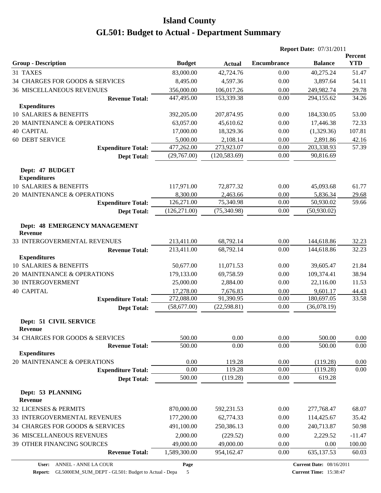|                                                 |               |               | <b>Report Date: 07/31/2011</b> |                |                              |
|-------------------------------------------------|---------------|---------------|--------------------------------|----------------|------------------------------|
| <b>Group - Description</b>                      | <b>Budget</b> | <b>Actual</b> | <b>Encumbrance</b>             | <b>Balance</b> | <b>Percent</b><br><b>YTD</b> |
| 31 TAXES                                        | 83,000.00     | 42,724.76     | 0.00                           | 40,275.24      | 51.47                        |
| 34 CHARGES FOR GOODS & SERVICES                 | 8,495.00      | 4,597.36      | 0.00                           | 3,897.64       | 54.11                        |
| <b>36 MISCELLANEOUS REVENUES</b>                | 356,000.00    | 106,017.26    | 0.00                           | 249,982.74     | 29.78                        |
| <b>Revenue Total:</b>                           | 447,495.00    | 153,339.38    | 0.00                           | 294,155.62     | 34.26                        |
| <b>Expenditures</b>                             |               |               |                                |                |                              |
| 10 SALARIES & BENEFITS                          | 392,205.00    | 207,874.95    | 0.00                           | 184,330.05     | 53.00                        |
| 20 MAINTENANCE & OPERATIONS                     | 63,057.00     | 45,610.62     | 0.00                           | 17,446.38      | 72.33                        |
| <b>40 CAPITAL</b>                               | 17,000.00     | 18,329.36     | 0.00                           | (1,329.36)     | 107.81                       |
| <b>60 DEBT SERVICE</b>                          | 5,000.00      | 2,108.14      | 0.00                           | 2,891.86       | 42.16                        |
| <b>Expenditure Total:</b>                       | 477,262.00    | 273,923.07    | 0.00                           | 203,338.93     | 57.39                        |
| <b>Dept Total:</b>                              | (29,767.00)   | (120, 583.69) | 0.00                           | 90,816.69      |                              |
| Dept: 47 BUDGET<br><b>Expenditures</b>          |               |               |                                |                |                              |
| 10 SALARIES & BENEFITS                          | 117,971.00    | 72,877.32     | 0.00                           | 45,093.68      | 61.77                        |
| 20 MAINTENANCE & OPERATIONS                     | 8,300.00      | 2,463.66      | 0.00                           | 5,836.34       | 29.68                        |
| <b>Expenditure Total:</b>                       | 126,271.00    | 75,340.98     | $0.00\,$                       | 50,930.02      | 59.66                        |
| <b>Dept Total:</b>                              | (126, 271.00) | (75,340.98)   | 0.00                           | (50,930.02)    |                              |
| Dept: 48 EMERGENCY MANAGEMENT<br><b>Revenue</b> |               |               |                                |                |                              |
| 33 INTERGOVERMENTAL REVENUES                    | 213,411.00    | 68,792.14     | 0.00                           | 144,618.86     | 32.23                        |
| <b>Revenue Total:</b>                           | 213,411.00    | 68,792.14     | 0.00                           | 144,618.86     | 32.23                        |
| <b>Expenditures</b>                             |               |               |                                |                |                              |
| 10 SALARIES & BENEFITS                          | 50,677.00     | 11,071.53     | 0.00                           | 39,605.47      | 21.84                        |
| 20 MAINTENANCE & OPERATIONS                     | 179,133.00    | 69,758.59     | 0.00                           | 109,374.41     | 38.94                        |
| <b>30 INTERGOVERMENT</b>                        | 25,000.00     | 2,884.00      | 0.00                           | 22,116.00      | 11.53                        |
| <b>40 CAPITAL</b>                               | 17,278.00     | 7,676.83      | 0.00                           | 9,601.17       | 44.43                        |
| <b>Expenditure Total:</b>                       | 272,088.00    | 91,390.95     | 0.00                           | 180,697.05     | 33.58                        |
| <b>Dept Total:</b>                              | (58,677.00)   | (22, 598.81)  | 0.00                           | (36,078.19)    |                              |
| Dept: 51 CIVIL SERVICE<br><b>Revenue</b>        |               |               |                                |                |                              |
| 34 CHARGES FOR GOODS & SERVICES                 | 500.00        | 0.00          | 0.00                           | 500.00         | 0.00                         |
| <b>Revenue Total:</b>                           | 500.00        | 0.00          | 0.00                           | 500.00         | 0.00                         |
| <b>Expenditures</b>                             |               |               |                                |                |                              |
| 20 MAINTENANCE & OPERATIONS                     | 0.00          | 119.28        | 0.00                           | (119.28)       | 0.00                         |
| <b>Expenditure Total:</b>                       | 0.00          | 119.28        | 0.00                           | (119.28)       | 0.00                         |
| <b>Dept Total:</b>                              | 500.00        | (119.28)      | 0.00                           | 619.28         |                              |
| Dept: 53 PLANNING<br><b>Revenue</b>             |               |               |                                |                |                              |
| 32 LICENSES & PERMITS                           | 870,000.00    | 592,231.53    | 0.00                           | 277,768.47     | 68.07                        |
| 33 INTERGOVERMENTAL REVENUES                    | 177,200.00    | 62,774.33     | 0.00                           | 114,425.67     | 35.42                        |
| 34 CHARGES FOR GOODS & SERVICES                 | 491,100.00    | 250,386.13    | 0.00                           | 240,713.87     | 50.98                        |
| <b>36 MISCELLANEOUS REVENUES</b>                | 2,000.00      | (229.52)      | 0.00                           | 2,229.52       | $-11.47$                     |
| 39 OTHER FINANCING SOURCES                      | 49,000.00     | 49,000.00     | 0.00                           | 0.00           | 100.00                       |
| <b>Revenue Total:</b>                           | 1,589,300.00  | 954,162.47    | 0.00                           | 635,137.53     | 60.03                        |
|                                                 |               |               |                                |                |                              |

**Report:** GL5000EM\_SUM\_DEPT - GL501: Budget to Actual - Depa 5

**Page**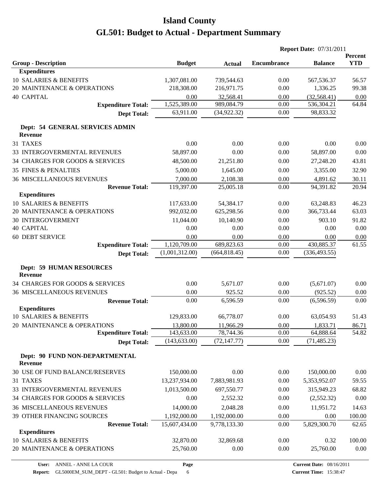|                                                   |                |               |                    | <b>Report Date: 07/31/2011</b> |                       |
|---------------------------------------------------|----------------|---------------|--------------------|--------------------------------|-----------------------|
| <b>Group - Description</b>                        | <b>Budget</b>  | <b>Actual</b> | <b>Encumbrance</b> | <b>Balance</b>                 | Percent<br><b>YTD</b> |
| <b>Expenditures</b>                               |                |               |                    |                                |                       |
| 10 SALARIES & BENEFITS                            | 1,307,081.00   | 739,544.63    | 0.00               | 567,536.37                     | 56.57                 |
| 20 MAINTENANCE & OPERATIONS                       | 218,308.00     | 216,971.75    | 0.00               | 1,336.25                       | 99.38                 |
| <b>40 CAPITAL</b>                                 | 0.00           | 32,568.41     | 0.00               | (32, 568.41)                   | 0.00                  |
| <b>Expenditure Total:</b>                         | 1,525,389.00   | 989,084.79    | 0.00               | 536,304.21                     | 64.84                 |
| <b>Dept Total:</b>                                | 63,911.00      | (34,922.32)   | 0.00               | 98,833.32                      |                       |
| Dept: 54 GENERAL SERVICES ADMIN<br><b>Revenue</b> |                |               |                    |                                |                       |
| 31 TAXES                                          | 0.00           | 0.00          | 0.00               | 0.00                           | 0.00                  |
| 33 INTERGOVERMENTAL REVENUES                      | 58,897.00      | 0.00          | 0.00               | 58,897.00                      | 0.00                  |
| 34 CHARGES FOR GOODS & SERVICES                   | 48,500.00      | 21,251.80     | 0.00               | 27,248.20                      | 43.81                 |
| <b>35 FINES &amp; PENALTIES</b>                   | 5,000.00       | 1,645.00      | 0.00               | 3,355.00                       | 32.90                 |
| <b>36 MISCELLANEOUS REVENUES</b>                  | 7,000.00       | 2,108.38      | 0.00               | 4,891.62                       | 30.11                 |
| <b>Revenue Total:</b>                             | 119,397.00     | 25,005.18     | 0.00               | 94,391.82                      | 20.94                 |
| <b>Expenditures</b>                               |                |               |                    |                                |                       |
| 10 SALARIES & BENEFITS                            | 117,633.00     | 54,384.17     | 0.00               | 63,248.83                      | 46.23                 |
| 20 MAINTENANCE & OPERATIONS                       | 992,032.00     | 625,298.56    | 0.00               | 366,733.44                     | 63.03                 |
| <b>30 INTERGOVERMENT</b>                          | 11,044.00      | 10,140.90     | 0.00               | 903.10                         | 91.82                 |
| <b>40 CAPITAL</b>                                 | 0.00           | 0.00          | 0.00               | 0.00                           | 0.00                  |
| <b>60 DEBT SERVICE</b>                            | 0.00           | 0.00          | 0.00               | 0.00                           | 0.00                  |
| <b>Expenditure Total:</b>                         | 1,120,709.00   | 689,823.63    | 0.00               | 430,885.37                     | 61.55                 |
| <b>Dept Total:</b>                                | (1,001,312.00) | (664, 818.45) | 0.00               | (336, 493.55)                  |                       |
| <b>Dept: 59 HUMAN RESOURCES</b><br><b>Revenue</b> |                |               |                    |                                |                       |
| 34 CHARGES FOR GOODS & SERVICES                   | 0.00           | 5,671.07      | 0.00               | (5,671.07)                     | 0.00                  |
| <b>36 MISCELLANEOUS REVENUES</b>                  | 0.00           | 925.52        | 0.00               | (925.52)                       | 0.00                  |
| <b>Revenue Total:</b>                             | 0.00           | 6,596.59      | 0.00               | (6,596.59)                     | 0.00                  |
| <b>Expenditures</b>                               |                |               |                    |                                |                       |
| 10 SALARIES & BENEFITS                            | 129,833.00     | 66,778.07     | 0.00               | 63,054.93                      | 51.43                 |
| 20 MAINTENANCE & OPERATIONS                       | 13,800.00      | 11,966.29     | 0.00               | 1,833.71                       | 86.71                 |
| <b>Expenditure Total:</b>                         | 143,633.00     | 78,744.36     | 0.00               | 64,888.64                      | 54.82                 |
| <b>Dept Total:</b>                                | (143, 633.00)  | (72, 147.77)  | 0.00               | (71, 485.23)                   |                       |
| Dept: 90 FUND NON-DEPARTMENTAL<br><b>Revenue</b>  |                |               |                    |                                |                       |
| 30 USE OF FUND BALANCE/RESERVES                   | 150,000.00     | 0.00          | 0.00               | 150,000.00                     | 0.00                  |
| 31 TAXES                                          | 13,237,934.00  | 7,883,981.93  | 0.00               | 5,353,952.07                   | 59.55                 |
| 33 INTERGOVERMENTAL REVENUES                      | 1,013,500.00   | 697,550.77    | 0.00               | 315,949.23                     | 68.82                 |
| 34 CHARGES FOR GOODS & SERVICES                   | 0.00           | 2,552.32      | 0.00               | (2,552.32)                     | 0.00                  |
| <b>36 MISCELLANEOUS REVENUES</b>                  | 14,000.00      | 2,048.28      | 0.00               | 11,951.72                      | 14.63                 |
| 39 OTHER FINANCING SOURCES                        | 1,192,000.00   | 1,192,000.00  | 0.00               | 0.00                           | 100.00                |
| <b>Revenue Total:</b>                             | 15,607,434.00  | 9,778,133.30  | 0.00               | 5,829,300.70                   | 62.65                 |
| <b>Expenditures</b>                               |                |               |                    |                                |                       |
| 10 SALARIES & BENEFITS                            | 32,870.00      | 32,869.68     | 0.00               | 0.32                           | 100.00                |
| 20 MAINTENANCE & OPERATIONS                       | 25,760.00      | 0.00          | 0.00               | 25,760.00                      | 0.00                  |
|                                                   |                |               |                    |                                |                       |

**Page**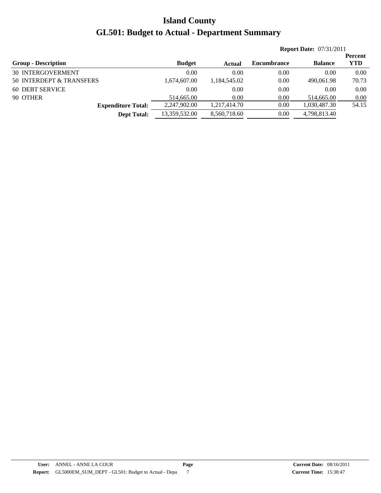|                            |               |              | <b>Report Date: 07/31/2011</b> |                |                |
|----------------------------|---------------|--------------|--------------------------------|----------------|----------------|
|                            |               |              |                                |                | <b>Percent</b> |
| <b>Group - Description</b> | <b>Budget</b> | Actual       | <b>Encumbrance</b>             | <b>Balance</b> | <b>YTD</b>     |
| <b>30 INTERGOVERMENT</b>   | 0.00          | 0.00         | 0.00                           | 0.00           | 0.00           |
| 50 INTERDEPT & TRANSFERS   | 1,674,607.00  | 1,184,545.02 | 0.00                           | 490,061.98     | 70.73          |
| 60 DEBT SERVICE            | 0.00          | 0.00         | 0.00                           | 0.00           | 0.00           |
| 90 OTHER                   | 514,665.00    | 0.00         | 0.00                           | 514,665.00     | 0.00           |
| <b>Expenditure Total:</b>  | 2,247,902.00  | 1.217.414.70 | 0.00                           | 1,030,487.30   | 54.15          |
| <b>Dept Total:</b>         | 13,359,532.00 | 8,560,718.60 | 0.00                           | 4,798,813.40   |                |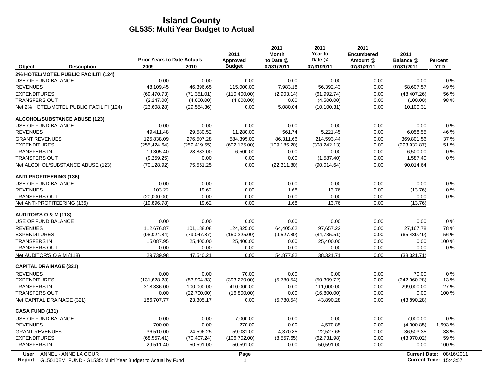|                                  |                                          | <b>Prior Years to Date Actuals</b> |               | 2011                      | 2011<br><b>Month</b>    | 2011<br>Year to<br>Date @ | 2011<br>Encumbered     | 2011                    |                              |
|----------------------------------|------------------------------------------|------------------------------------|---------------|---------------------------|-------------------------|---------------------------|------------------------|-------------------------|------------------------------|
| Object                           | <b>Description</b>                       | 2009                               | 2010          | Approved<br><b>Budget</b> | to Date @<br>07/31/2011 | 07/31/2011                | Amount @<br>07/31/2011 | Balance @<br>07/31/2011 | <b>Percent</b><br><b>YTD</b> |
|                                  | 2% HOTEL/MOTEL PUBLIC FACILITI (124)     |                                    |               |                           |                         |                           |                        |                         |                              |
| USE OF FUND BALANCE              |                                          | 0.00                               | 0.00          | 0.00                      | 0.00                    | 0.00                      | 0.00                   | 0.00                    | $0\%$                        |
| <b>REVENUES</b>                  |                                          | 48,109.45                          | 46,396.65     | 115,000.00                | 7,983.18                | 56,392.43                 | 0.00                   | 58,607.57               | 49%                          |
| <b>EXPENDITURES</b>              |                                          | (69, 470.73)                       | (71, 351.01)  | (110, 400.00)             | (2,903.14)              | (61, 992.74)              | 0.00                   | (48, 407.26)            | 56 %                         |
| <b>TRANSFERS OUT</b>             |                                          | (2,247.00)                         | (4,600.00)    | (4,600.00)                | 0.00                    | (4,500.00)                | 0.00                   | (100.00)                | 98%                          |
|                                  | Net 2% HOTEL/MOTEL PUBLIC FACILITI (124) | (23,608.28)                        | (29, 554.36)  | 0.00                      | 5,080.04                | (10, 100.31)              | 0.00                   | 10,100.31               |                              |
|                                  | <b>ALCOHOL/SUBSTANCE ABUSE (123)</b>     |                                    |               |                           |                         |                           |                        |                         |                              |
| USE OF FUND BALANCE              |                                          | 0.00                               | 0.00          | 0.00                      | 0.00                    | 0.00                      | 0.00                   | 0.00                    | 0%                           |
| <b>REVENUES</b>                  |                                          | 49,411.48                          | 29,580.52     | 11,280.00                 | 561.74                  | 5,221.45                  | 0.00                   | 6,058.55                | 46 %                         |
| <b>GRANT REVENUES</b>            |                                          | 125,838.09                         | 276,507.28    | 584,395.00                | 86,311.66               | 214,593.44                | 0.00                   | 369,801.56              | 37 %                         |
| <b>EXPENDITURES</b>              |                                          | (255, 424.64)                      | (259, 419.55) | (602, 175.00)             | (109, 185.20)           | (308, 242.13)             | 0.00                   | (293, 932.87)           | 51 %                         |
| <b>TRANSFERS IN</b>              |                                          | 19,305.40                          | 28,883.00     | 6,500.00                  | 0.00                    | 0.00                      | 0.00                   | 6,500.00                | 0%                           |
| <b>TRANSFERS OUT</b>             |                                          | (9,259.25)                         | 0.00          | 0.00                      | 0.00                    | (1,587.40)                | 0.00                   | 1,587.40                | $0\%$                        |
|                                  | Net ALCOHOL/SUBSTANCE ABUSE (123)        | (70, 128.92)                       | 75,551.25     | 0.00                      | (22, 311.80)            | (90,014.64)               | 0.00                   | 90,014.64               |                              |
| <b>ANTI-PROFITEERING (136)</b>   |                                          |                                    |               |                           |                         |                           |                        |                         |                              |
| USE OF FUND BALANCE              |                                          | 0.00                               | 0.00          | 0.00                      | 0.00                    | 0.00                      | 0.00                   | 0.00                    | $0\%$                        |
| <b>REVENUES</b>                  |                                          | 103.22                             | 19.62         | 0.00                      | 1.68                    | 13.76                     | 0.00                   | (13.76)                 | 0%                           |
| <b>TRANSFERS OUT</b>             |                                          | (20,000.00)                        | 0.00          | 0.00                      | 0.00                    | 0.00                      | 0.00                   | 0.00                    | $0\%$                        |
| Net ANTI-PROFITEERING (136)      |                                          | (19,896.78)                        | 19.62         | 0.00                      | 1.68                    | 13.76                     | 0.00                   | (13.76)                 |                              |
| <b>AUDITOR'S O &amp; M (118)</b> |                                          |                                    |               |                           |                         |                           |                        |                         |                              |
| USE OF FUND BALANCE              |                                          | 0.00                               | 0.00          | 0.00                      | 0.00                    | 0.00                      | 0.00                   | 0.00                    | $0\%$                        |
| <b>REVENUES</b>                  |                                          | 112,676.87                         | 101,188.08    | 124,825.00                | 64,405.62               | 97,657.22                 | 0.00                   | 27,167.78               | 78%                          |
| <b>EXPENDITURES</b>              |                                          | (98,024.84)                        | (79,047.87)   | (150, 225.00)             | (9,527.80)              | (84, 735.51)              | 0.00                   | (65, 489.49)            | 56 %                         |
| <b>TRANSFERS IN</b>              |                                          | 15,087.95                          | 25,400.00     | 25,400.00                 | 0.00                    | 25,400.00                 | 0.00                   | 0.00                    | 100 %                        |
| <b>TRANSFERS OUT</b>             |                                          | 0.00                               | 0.00          | 0.00                      | 0.00                    | 0.00                      | 0.00                   | 0.00                    | 0%                           |
| Net AUDITOR'S O & M (118)        |                                          | 29.739.98                          | 47.540.21     | 0.00                      | 54.877.82               | 38.321.71                 | 0.00                   | (38, 321.71)            |                              |
| <b>CAPITAL DRAINAGE (321)</b>    |                                          |                                    |               |                           |                         |                           |                        |                         |                              |
| <b>REVENUES</b>                  |                                          | 0.00                               | 0.00          | 70.00                     | 0.00                    | 0.00                      | 0.00                   | 70.00                   | $0\%$                        |
| <b>EXPENDITURES</b>              |                                          | (131.628.23)                       | (53,994.83)   | (393, 270.00)             | (5,780.54)              | (50, 309.72)              | 0.00                   | (342,960.28)            | 13%                          |
| <b>TRANSFERS IN</b>              |                                          | 318,336.00                         | 100.000.00    | 410.000.00                | 0.00                    | 111.000.00                | 0.00                   | 299,000.00              | 27 %                         |
| <b>TRANSFERS OUT</b>             |                                          | 0.00                               | (22,700.00)   | (16,800.00)               | 0.00                    | (16,800.00)               | 0.00                   | 0.00                    | 100 %                        |
| Net CAPITAL DRAINAGE (321)       |                                          | 186,707.77                         | 23,305.17     | 0.00                      | (5,780.54)              | 43,890.28                 | 0.00                   | (43,890.28)             |                              |
| CASA FUND (131)                  |                                          |                                    |               |                           |                         |                           |                        |                         |                              |
| USE OF FUND BALANCE              |                                          | 0.00                               | 0.00          | 7,000.00                  | 0.00                    | 0.00                      | 0.00                   | 7,000.00                | $0\%$                        |
| <b>REVENUES</b>                  |                                          | 700.00                             | 0.00          | 270.00                    | 0.00                    | 4,570.85                  | 0.00                   | (4,300.85)              | 1,693 %                      |
| <b>GRANT REVENUES</b>            |                                          | 36,510.00                          | 24,596.25     | 59,031.00                 | 4,370.85                | 22,527.65                 | 0.00                   | 36,503.35               | 38 %                         |
| <b>EXPENDITURES</b>              |                                          | (68, 557.41)                       | (70, 407.24)  | (106, 702.00)             | (8,557.65)              | (62, 731.98)              | 0.00                   | (43,970.02)             | 59 %                         |
| <b>TRANSFERS IN</b>              |                                          | 29,511.40                          | 50,591.00     | 50,591.00                 | 0.00                    | 50,591.00                 | 0.00                   | 0.00                    | 100 %                        |
|                                  | User: ANNEL - ANNE LA COUR               |                                    |               | Page                      |                         |                           |                        | <b>Current Date:</b>    | 08/16/2                      |

**Report:** GL5010EM\_FUND - GL535: Multi Year Budget to Actual by Fund 15:43:57 15:43:57 15:43:57 15:43:57 15:43:57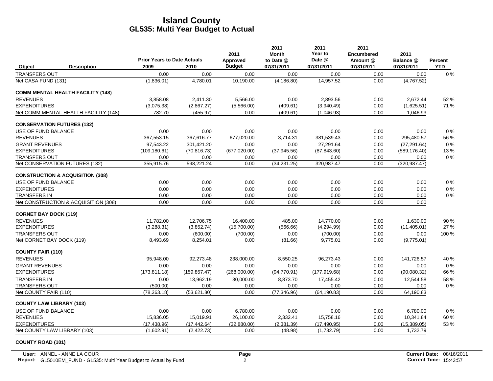|                                             | <b>Prior Years to Date Actuals</b> |               | 2011                      | 2011<br>Month<br>to Date @ | 2011<br>Year to<br>Date @ | 2011<br><b>Encumbered</b><br>Amount @ | 2011<br>Balance @ | <b>Percent</b> |
|---------------------------------------------|------------------------------------|---------------|---------------------------|----------------------------|---------------------------|---------------------------------------|-------------------|----------------|
| <b>Description</b><br>Object                | 2009                               | 2010          | Approved<br><b>Budget</b> | 07/31/2011                 | 07/31/2011                | 07/31/2011                            | 07/31/2011        | <b>YTD</b>     |
| <b>TRANSFERS OUT</b>                        | 0.00                               | 0.00          | 0.00                      | 0.00                       | 0.00                      | 0.00                                  | 0.00              | 0%             |
| Net CASA FUND (131)                         | (1,836.01)                         | 4,780.01      | 10,190.00                 | (4, 186.80)                | 14,957.52                 | 0.00                                  | (4,767.52)        |                |
| <b>COMM MENTAL HEALTH FACILITY (148)</b>    |                                    |               |                           |                            |                           |                                       |                   |                |
| <b>REVENUES</b>                             | 3.858.08                           | 2.411.30      | 5.566.00                  | 0.00                       | 2.893.56                  | 0.00                                  | 2,672.44          | 52 %           |
| <b>EXPENDITURES</b>                         | (3,075.38)                         | (2,867.27)    | (5,566.00)                | (409.61)                   | (3,940.49)                | 0.00                                  | (1,625.51)        | 71 %           |
| Net COMM MENTAL HEALTH FACILITY (148)       | 782.70                             | (455.97)      | 0.00                      | (409.61)                   | (1,046.93)                | 0.00                                  | 1,046.93          |                |
| <b>CONSERVATION FUTURES (132)</b>           |                                    |               |                           |                            |                           |                                       |                   |                |
| USE OF FUND BALANCE                         | 0.00                               | 0.00          | 0.00                      | 0.00                       | 0.00                      | 0.00                                  | 0.00              | 0%             |
| <b>REVENUES</b>                             | 367,553.15                         | 367,616.77    | 677,020.00                | 3,714.31                   | 381,539.43                | 0.00                                  | 295,480.57        | 56 %           |
| <b>GRANT REVENUES</b>                       | 97.543.22                          | 301.421.20    | 0.00                      | 0.00                       | 27.291.64                 | 0.00                                  | (27, 291.64)      | 0%             |
| <b>EXPENDITURES</b>                         | (109, 180.61)                      | (70, 816.73)  | (677, 020.00)             | (37, 945.56)               | (87, 843.60)              | 0.00                                  | (589, 176.40)     | 13%            |
| <b>TRANSFERS OUT</b>                        | 0.00                               | 0.00          | 0.00                      | 0.00                       | 0.00                      | 0.00                                  | 0.00              | 0%             |
| Net CONSERVATION FUTURES (132)              | 355,915.76                         | 598,221.24    | 0.00                      | (34, 231.25)               | 320,987.47                | 0.00                                  | (320, 987.47)     |                |
| <b>CONSTRUCTION &amp; ACQUISITION (308)</b> |                                    |               |                           |                            |                           |                                       |                   |                |
| USE OF FUND BALANCE                         | 0.00                               | 0.00          | 0.00                      | 0.00                       | 0.00                      | 0.00                                  | 0.00              | 0%             |
| <b>EXPENDITURES</b>                         | 0.00                               | 0.00          | 0.00                      | 0.00                       | 0.00                      | 0.00                                  | 0.00              | 0%             |
| <b>TRANSFERS IN</b>                         | 0.00                               | 0.00          | 0.00                      | 0.00                       | 0.00                      | 0.00                                  | 0.00              | $0\%$          |
| Net CONSTRUCTION & ACQUISITION (308)        | 0.00                               | 0.00          | 0.00                      | 0.00                       | 0.00                      | 0.00                                  | 0.00              |                |
| <b>CORNET BAY DOCK (119)</b>                |                                    |               |                           |                            |                           |                                       |                   |                |
| <b>REVENUES</b>                             | 11,782.00                          | 12,706.75     | 16,400.00                 | 485.00                     | 14.770.00                 | 0.00                                  | 1,630.00          | 90%            |
| <b>EXPENDITURES</b>                         | (3,288.31)                         | (3,852.74)    | (15,700.00)               | (566.66)                   | (4,294.99)                | 0.00                                  | (11, 405.01)      | 27 %           |
| <b>TRANSFERS OUT</b>                        | 0.00                               | (600.00)      | (700.00)                  | 0.00                       | (700.00)                  | 0.00                                  | 0.00              | 100 %          |
| Net CORNET BAY DOCK (119)                   | 8,493.69                           | 8,254.01      | 0.00                      | (81.66)                    | 9,775.01                  | 0.00                                  | (9,775.01)        |                |
| <b>COUNTY FAIR (110)</b>                    |                                    |               |                           |                            |                           |                                       |                   |                |
| <b>REVENUES</b>                             | 95,948.00                          | 92,273.48     | 238,000.00                | 8,550.25                   | 96,273.43                 | 0.00                                  | 141,726.57        | 40 %           |
| <b>GRANT REVENUES</b>                       | 0.00                               | 0.00          | 0.00                      | 0.00                       | 0.00                      | 0.00                                  | 0.00              | 0%             |
| <b>EXPENDITURES</b>                         | (173, 811.18)                      | (159, 857.47) | (268,000.00)              | (94, 770.91)               | (177, 919.68)             | 0.00                                  | (90,080.32)       | 66 %           |
| <b>TRANSFERS IN</b>                         | 0.00                               | 13,962.19     | 30,000.00                 | 8,873.70                   | 17,455.42                 | 0.00                                  | 12,544.58         | 58 %           |
| <b>TRANSFERS OUT</b>                        | (500.00)                           | 0.00          | 0.00                      | 0.00                       | 0.00                      | 0.00                                  | 0.00              | 0%             |
| Net COUNTY FAIR (110)                       | (78, 363.18)                       | (53,621.80)   | 0.00                      | (77, 346.96)               | (64, 190.83)              | 0.00                                  | 64,190.83         |                |
| <b>COUNTY LAW LIBRARY (103)</b>             |                                    |               |                           |                            |                           |                                       |                   |                |
| USE OF FUND BALANCE                         | 0.00                               | 0.00          | 6,780.00                  | 0.00                       | 0.00                      | 0.00                                  | 6,780.00          | 0%             |
| <b>REVENUES</b>                             | 15,836.05                          | 15,019.91     | 26,100.00                 | 2,332.41                   | 15,758.16                 | 0.00                                  | 10,341.84         | 60%            |
| <b>EXPENDITURES</b>                         | (17, 438.96)                       | (17.442.64)   | (32.880.00)               | (2.381.39)                 | (17, 490.95)              | 0.00                                  | (15, 389.05)      | 53 %           |
| Net COUNTY LAW LIBRARY (103)                | (1,602.91)                         | (2,422.73)    | 0.00                      | (48.98)                    | (1,732.79)                | 0.00                                  | 1,732.79          |                |

#### **COUNTY ROAD (101)**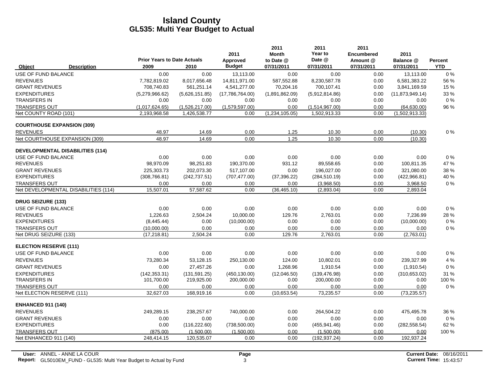|                                         |                                            |                | 2011                      | 2011<br><b>Month</b>    | 2011<br>Year to<br>Date @ | 2011<br><b>Encumbered</b> | 2011                    |                       |
|-----------------------------------------|--------------------------------------------|----------------|---------------------------|-------------------------|---------------------------|---------------------------|-------------------------|-----------------------|
| <b>Description</b><br>Object            | <b>Prior Years to Date Actuals</b><br>2009 | 2010           | Approved<br><b>Budget</b> | to Date @<br>07/31/2011 | 07/31/2011                | Amount @<br>07/31/2011    | Balance @<br>07/31/2011 | Percent<br><b>YTD</b> |
| USE OF FUND BALANCE                     | 0.00                                       | 0.00           | 13,113.00                 | 0.00                    | 0.00                      | 0.00                      | 13,113.00               | 0%                    |
| <b>REVENUES</b>                         | 7,782,819.02                               | 8,017,656.48   | 14,811,971.00             | 587,552.88              | 8,230,587.78              | 0.00                      | 6,581,383.22            | 56 %                  |
| <b>GRANT REVENUES</b>                   | 708,740.83                                 | 561,251.14     | 4,541,277.00              | 70,204.16               | 700,107.41                | 0.00                      | 3,841,169.59            | 15 %                  |
| <b>EXPENDITURES</b>                     | (5,279,966.62)                             | (5,626,151.85) | (17,786,764.00)           | (1,891,862.09)          | (5,912,814.86)            | 0.00                      | (11, 873, 949.14)       | 33 %                  |
| <b>TRANSFERS IN</b>                     | 0.00                                       | 0.00           | 0.00                      | 0.00                    | 0.00                      | 0.00                      | 0.00                    | $0\%$                 |
| <b>TRANSFERS OUT</b>                    | (1,017,624.65)                             | (1,526,217.00) | (1,579,597.00)            | 0.00                    | (1,514,967.00)            | 0.00                      | (64, 630.00)            | 96 %                  |
| Net COUNTY ROAD (101)                   | 2.193.968.58                               | 1,426,538.77   | 0.00                      | (1,234,105.05)          | 1,502,913.33              | 0.00                      | (1,502,913.33)          |                       |
| <b>COURTHOUSE EXPANSION (309)</b>       |                                            |                |                           |                         |                           |                           |                         |                       |
| <b>REVENUES</b>                         | 48.97                                      | 14.69          | 0.00                      | 1.25                    | 10.30                     | 0.00                      | (10.30)                 | $0\%$                 |
| Net COURTHOUSE EXPANSION (309)          | 48.97                                      | 14.69          | 0.00                      | 1.25                    | 10.30                     | 0.00                      | (10.30)                 |                       |
| <b>DEVELOPMENTAL DISABILITIES (114)</b> |                                            |                |                           |                         |                           |                           |                         |                       |
| USE OF FUND BALANCE                     | 0.00                                       | 0.00           | 0.00                      | 0.00                    | 0.00                      | 0.00                      | 0.00                    | 0%                    |
| <b>REVENUES</b>                         | 98,970.09                                  | 98,251.83      | 190,370.00                | 931.12                  | 89,558.65                 | 0.00                      | 100,811.35              | 47 %                  |
| <b>GRANT REVENUES</b>                   | 225.303.73                                 | 202,073.30     | 517,107.00                | 0.00                    | 196.027.00                | 0.00                      | 321,080.00              | 38 %                  |
| <b>EXPENDITURES</b>                     | (308, 766.81)                              | (242, 737.51)  | (707, 477.00)             | (37, 396.22)            | (284, 510.19)             | 0.00                      | (422, 966.81)           | 40 %                  |
| <b>TRANSFERS OUT</b>                    | 0.00                                       | 0.00           | 0.00                      | 0.00                    | (3,968.50)                | 0.00                      | 3,968.50                | $0\%$                 |
| Net DEVELOPMENTAL DISABILITIES (114)    | 15,507.01                                  | 57,587.62      | 0.00                      | (36, 465.10)            | (2,893.04)                | 0.00                      | 2,893.04                |                       |
| <b>DRUG SEIZURE (133)</b>               |                                            |                |                           |                         |                           |                           |                         |                       |
| USE OF FUND BALANCE                     | 0.00                                       | 0.00           | 0.00                      | 0.00                    | 0.00                      | 0.00                      | 0.00                    | $0\%$                 |
| <b>REVENUES</b>                         | 1,226.63                                   | 2,504.24       | 10,000.00                 | 129.76                  | 2,763.01                  | 0.00                      | 7,236.99                | 28 %                  |
| <b>EXPENDITURES</b>                     | (8,445.44)                                 | 0.00           | (10,000.00)               | 0.00                    | 0.00                      | 0.00                      | (10,000.00)             | $0\%$                 |
| <b>TRANSFERS OUT</b>                    | (10,000.00)                                | 0.00           | 0.00                      | 0.00                    | 0.00                      | 0.00                      | 0.00                    | $0\%$                 |
| Net DRUG SEIZURE (133)                  | (17, 218.81)                               | 2.504.24       | 0.00                      | 129.76                  | 2,763.01                  | 0.00                      | (2,763.01)              |                       |
| <b>ELECTION RESERVE (111)</b>           |                                            |                |                           |                         |                           |                           |                         |                       |
| USE OF FUND BALANCE                     | 0.00                                       | 0.00           | 0.00                      | 0.00                    | 0.00                      | 0.00                      | 0.00                    | 0%                    |
| <b>REVENUES</b>                         | 73,280.34                                  | 53,128.15      | 250,130.00                | 124.00                  | 10,802.01                 | 0.00                      | 239,327.99              | 4 %                   |
| <b>GRANT REVENUES</b>                   | 0.00                                       | 27,457.26      | 0.00                      | 1,268.96                | 1,910.54                  | 0.00                      | (1,910.54)              | 0%                    |
| <b>EXPENDITURES</b>                     | (142, 353.31)                              | (131, 591.25)  | (450, 130.00)             | (12,046.50)             | (139, 476.98)             | 0.00                      | (310, 653.02)           | 31 %                  |
| <b>TRANSFERS IN</b>                     | 101,700.00                                 | 219,925.00     | 200,000.00                | 0.00                    | 200,000.00                | 0.00                      | 0.00                    | 100 %                 |
| <b>TRANSFERS OUT</b>                    | 0.00                                       | 0.00           | 0.00                      | 0.00                    | 0.00                      | 0.00                      | 0.00                    | $0\%$                 |
| Net ELECTION RESERVE (111)              | 32.627.03                                  | 168,919.16     | 0.00                      | (10,653.54)             | 73,235.57                 | 0.00                      | (73, 235.57)            |                       |
| <b>ENHANCED 911 (140)</b>               |                                            |                |                           |                         |                           |                           |                         |                       |
| <b>REVENUES</b>                         | 249,289.15                                 | 238,257.67     | 740,000.00                | 0.00                    | 264,504.22                | 0.00                      | 475,495.78              | 36 %                  |
| <b>GRANT REVENUES</b>                   | 0.00                                       | 0.00           | 0.00                      | 0.00                    | 0.00                      | 0.00                      | 0.00                    | $0\%$                 |
| <b>EXPENDITURES</b>                     | 0.00                                       | (116, 222.60)  | (738, 500.00)             | 0.00                    | (455, 941.46)             | 0.00                      | (282, 558.54)           | 62 %                  |
| <b>TRANSFERS OUT</b>                    | (875.00)                                   | (1,500.00)     | (1,500.00)                | 0.00                    | (1,500.00)                | 0.00                      | 0.00                    | 100 %                 |
| Net ENHANCED 911 (140)                  | 248,414.15                                 | 120,535.07     | 0.00                      | 0.00                    | (192, 937.24)             | 0.00                      | 192,937.24              |                       |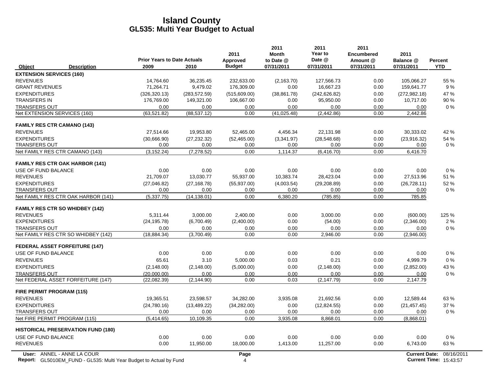|                                                                                                  | <b>Prior Years to Date Actuals</b> |               | 2011<br>2011<br>2011<br>Year to<br>2011<br><b>Month</b><br><b>Encumbered</b><br>Date @<br>Approved<br>to Date @<br>Amount @ |              | 2011<br>Balance @ | Percent    |                                                       |            |
|--------------------------------------------------------------------------------------------------|------------------------------------|---------------|-----------------------------------------------------------------------------------------------------------------------------|--------------|-------------------|------------|-------------------------------------------------------|------------|
| Object<br><b>Description</b>                                                                     | 2009                               | 2010          | <b>Budget</b>                                                                                                               | 07/31/2011   | 07/31/2011        | 07/31/2011 | 07/31/2011                                            | <b>YTD</b> |
| <b>EXTENSION SERVICES (160)</b>                                                                  |                                    |               |                                                                                                                             |              |                   |            |                                                       |            |
| <b>REVENUES</b>                                                                                  | 14,764.60                          | 36,235.45     | 232,633.00                                                                                                                  | (2, 163.70)  | 127,566.73        | 0.00       | 105,066.27                                            | 55 %       |
| <b>GRANT REVENUES</b>                                                                            | 71,264.71                          | 9,479.02      | 176,309.00                                                                                                                  | 0.00         | 16,667.23         | 0.00       | 159,641.77                                            | 9 %        |
| <b>EXPENDITURES</b>                                                                              | (326, 320.13)                      | (283, 572.59) | (515,609.00)                                                                                                                | (38, 861.78) | (242, 626.82)     | 0.00       | (272, 982, 18)                                        | 47 %       |
| <b>TRANSFERS IN</b>                                                                              | 176,769.00                         | 149,321.00    | 106,667.00                                                                                                                  | 0.00         | 95,950.00         | 0.00       | 10,717.00                                             | 90 %       |
| <b>TRANSFERS OUT</b>                                                                             | 0.00                               | 0.00          | 0.00                                                                                                                        | 0.00         | 0.00              | 0.00       | 0.00                                                  | $0\%$      |
| Net EXTENSION SERVICES (160)                                                                     | (63, 521.82)                       | (88, 537.12)  | 0.00                                                                                                                        | (41, 025.48) | (2, 442.86)       | 0.00       | 2,442.86                                              |            |
| <b>FAMILY RES CTR CAMANO (143)</b>                                                               |                                    |               |                                                                                                                             |              |                   |            |                                                       |            |
| <b>REVENUES</b>                                                                                  | 27,514.66                          | 19,953.80     | 52,465.00                                                                                                                   | 4,456.34     | 22,131.98         | 0.00       | 30,333.02                                             | 42 %       |
| <b>EXPENDITURES</b>                                                                              | (30,666.90)                        | (27, 232.32)  | (52, 465.00)                                                                                                                | (3,341.97)   | (28, 548.68)      | 0.00       | (23,916.32)                                           | 54 %       |
| <b>TRANSFERS OUT</b>                                                                             | 0.00                               | 0.00          | 0.00                                                                                                                        | 0.00         | 0.00              | 0.00       | 0.00                                                  | $0\%$      |
| Net FAMILY RES CTR CAMANO (143)                                                                  | (3, 152.24)                        | (7, 278.52)   | 0.00                                                                                                                        | 1,114.37     | (6, 416.70)       | 0.00       | 6,416.70                                              |            |
| <b>FAMILY RES CTR OAK HARBOR (141)</b>                                                           |                                    |               |                                                                                                                             |              |                   |            |                                                       |            |
| USE OF FUND BALANCE                                                                              | 0.00                               | 0.00          | 0.00                                                                                                                        | 0.00         | 0.00              | 0.00       | 0.00                                                  | $0\%$      |
| <b>REVENUES</b>                                                                                  | 21,709.07                          | 13,030.77     | 55,937.00                                                                                                                   | 10,383.74    | 28,423.04         | 0.00       | 27,513.96                                             | 51 %       |
| <b>EXPENDITURES</b>                                                                              | (27,046.82)                        | (27, 168.78)  | (55,937.00)                                                                                                                 | (4,003.54)   | (29, 208.89)      | 0.00       | (26, 728.11)                                          | 52%        |
| <b>TRANSFERS OUT</b>                                                                             | 0.00                               | 0.00          | 0.00                                                                                                                        | 0.00         | 0.00              | 0.00       | 0.00                                                  | $0\%$      |
| Net FAMILY RES CTR OAK HARBOR (141)                                                              | (5,337.75)                         | (14, 138.01)  | 0.00                                                                                                                        | 6,380.20     | (785.85)          | 0.00       | 785.85                                                |            |
| <b>FAMILY RES CTR SO WHIDBEY (142)</b>                                                           |                                    |               |                                                                                                                             |              |                   |            |                                                       |            |
| <b>REVENUES</b>                                                                                  | 5.311.44                           | 3.000.00      | 2.400.00                                                                                                                    | 0.00         | 3.000.00          | 0.00       | (600.00)                                              | 125 %      |
| <b>EXPENDITURES</b>                                                                              | (24, 195.78)                       | (6,700.49)    | (2,400.00)                                                                                                                  | 0.00         | (54.00)           | 0.00       | (2,346.00)                                            | 2%         |
| <b>TRANSFERS OUT</b>                                                                             | 0.00                               | 0.00          | 0.00                                                                                                                        | 0.00         | 0.00              | 0.00       | 0.00                                                  | $0\%$      |
| Net FAMILY RES CTR SO WHIDBEY (142)                                                              | (18, 884.34)                       | (3,700.49)    | 0.00                                                                                                                        | 0.00         | 2,946.00          | 0.00       | (2,946.00)                                            |            |
| <b>FEDERAL ASSET FORFEITURE (147)</b>                                                            |                                    |               |                                                                                                                             |              |                   |            |                                                       |            |
| USE OF FUND BALANCE                                                                              | 0.00                               | 0.00          | 0.00                                                                                                                        | 0.00         | 0.00              | 0.00       | 0.00                                                  | 0%         |
| <b>REVENUES</b>                                                                                  | 65.61                              | 3.10          | 5,000.00                                                                                                                    | 0.03         | 0.21              | 0.00       | 4,999.79                                              | $0\%$      |
| <b>EXPENDITURES</b>                                                                              | (2, 148.00)                        | (2, 148.00)   | (5,000.00)                                                                                                                  | 0.00         | (2, 148.00)       | 0.00       | (2,852.00)                                            | 43 %       |
| <b>TRANSFERS OUT</b>                                                                             | (20,000.00)                        | 0.00          | 0.00                                                                                                                        | 0.00         | 0.00              | 0.00       | 0.00                                                  | $0\%$      |
| Net FEDERAL ASSET FORFEITURE (147)                                                               | (22,082.39)                        | (2, 144.90)   | 0.00                                                                                                                        | 0.03         | (2, 147.79)       | 0.00       | 2,147.79                                              |            |
| <b>FIRE PERMIT PROGRAM (115)</b>                                                                 |                                    |               |                                                                                                                             |              |                   |            |                                                       |            |
| <b>REVENUES</b>                                                                                  | 19,365.51                          | 23,598.57     | 34,282.00                                                                                                                   | 3,935.08     | 21,692.56         | 0.00       | 12,589.44                                             | 63%        |
| <b>EXPENDITURES</b>                                                                              | (24,780.16)                        | (13, 489.22)  | (34, 282.00)                                                                                                                | 0.00         | (12, 824.55)      | 0.00       | (21, 457.45)                                          | 37 %       |
| <b>TRANSFERS OUT</b>                                                                             | 0.00                               | 0.00          | 0.00                                                                                                                        | 0.00         | 0.00              | 0.00       | 0.00                                                  | $0\%$      |
| Net FIRE PERMIT PROGRAM (115)                                                                    | (5,414.65)                         | 10,109.35     | 0.00                                                                                                                        | 3,935.08     | 8,868.01          | 0.00       | (8,868.01)                                            |            |
| <b>HISTORICAL PRESERVATION FUND (180)</b>                                                        |                                    |               |                                                                                                                             |              |                   |            |                                                       |            |
| USE OF FUND BALANCE                                                                              | 0.00                               | 0.00          | 0.00                                                                                                                        | 0.00         | 0.00              | 0.00       | 0.00                                                  | $0\%$      |
| <b>REVENUES</b>                                                                                  | 0.00                               | 11,950.00     | 18,000.00                                                                                                                   | 1,413.00     | 11,257.00         | 0.00       | 6,743.00                                              | 63%        |
| User: ANNEL - ANNE LA COUR<br>Report: GL5010EM_FUND - GL535: Multi Year Budget to Actual by Fund |                                    |               | Page<br>4                                                                                                                   |              |                   |            | <b>Current Date:</b><br><b>Current Time: 15:43:57</b> | 08/16/2011 |

**Report:** GL5010EM\_FUND - GL535: Multi Year Budget to Actual by Fund 15:43:57 16:43:57 16:43:57 16:43:57 16:43:57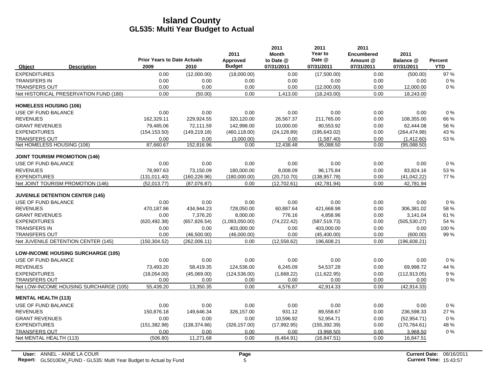|                               |                                           | <b>Prior Years to Date Actuals</b> |               | 2011<br>Approved | 2011<br><b>Month</b><br>to Date @ | 2011<br>Year to<br>Date @ | 2011<br><b>Encumbered</b><br>Amount @ | 2011<br>Balance @ | Percent    |
|-------------------------------|-------------------------------------------|------------------------------------|---------------|------------------|-----------------------------------|---------------------------|---------------------------------------|-------------------|------------|
| Object                        | <b>Description</b>                        | 2009                               | 2010          | <b>Budget</b>    | 07/31/2011                        | 07/31/2011                | 07/31/2011                            | 07/31/2011        | <b>YTD</b> |
| <b>EXPENDITURES</b>           |                                           | 0.00                               | (12,000.00)   | (18,000.00)      | 0.00                              | (17,500.00)               | 0.00                                  | (500.00)          | 97 %       |
| <b>TRANSFERS IN</b>           |                                           | 0.00                               | 0.00          | 0.00             | 0.00                              | 0.00                      | 0.00                                  | 0.00              | $0\%$      |
| <b>TRANSFERS OUT</b>          |                                           | 0.00                               | 0.00          | 0.00             | 0.00                              | (12,000.00)               | 0.00                                  | 12,000.00         | 0%         |
|                               | Net HISTORICAL PRESERVATION FUND (180)    | 0.00                               | (50.00)       | 0.00             | 1,413.00                          | (18, 243.00)              | 0.00                                  | 18,243.00         |            |
| <b>HOMELESS HOUSING (106)</b> |                                           |                                    |               |                  |                                   |                           |                                       |                   |            |
| USE OF FUND BALANCE           |                                           | 0.00                               | 0.00          | 0.00             | 0.00                              | 0.00                      | 0.00                                  | 0.00              | 0%         |
| <b>REVENUES</b>               |                                           | 162,329.11                         | 229,924.55    | 320,120.00       | 26,567.37                         | 211,765.00                | 0.00                                  | 108,355.00        | 66 %       |
| <b>GRANT REVENUES</b>         |                                           | 79,485.06                          | 72,111.59     | 142,998.00       | 10,000.00                         | 80,553.92                 | 0.00                                  | 62,444.08         | 56 %       |
| <b>EXPENDITURES</b>           |                                           | (154, 153.50)                      | (149, 219.18) | (460, 118.00)    | (24, 128.89)                      | (195, 643.02)             | 0.00                                  | (264, 474.98)     | 43 %       |
| <b>TRANSFERS OUT</b>          |                                           | 0.00                               | 0.00          | (3,000.00)       | 0.00                              | (1,587.40)                | 0.00                                  | (1,412.60)        | 53 %       |
| Net HOMELESS HOUSING (106)    |                                           | 87,660.67                          | 152,816.96    | 0.00             | 12,438.48                         | 95,088.50                 | 0.00                                  | (95,088.50)       |            |
|                               | <b>JOINT TOURISM PROMOTION (146)</b>      |                                    |               |                  |                                   |                           |                                       |                   |            |
| USE OF FUND BALANCE           |                                           | 0.00                               | 0.00          | 0.00             | 0.00                              | 0.00                      | 0.00                                  | 0.00              | $0\%$      |
| <b>REVENUES</b>               |                                           | 78.997.63                          | 73.150.09     | 180,000.00       | 8.008.09                          | 96.175.84                 | 0.00                                  | 83,824.16         | 53 %       |
| <b>EXPENDITURES</b>           |                                           | (131, 011.40)                      | (160, 226.96) | (180,000.00)     | (20,710.70)                       | (138, 957.78)             | 0.00                                  | (41, 042.22)      | 77 %       |
|                               | Net JOINT TOURISM PROMOTION (146)         | (52,013.77)                        | (87,076.87)   | 0.00             | (12,702.61)                       | (42,781.94)               | 0.00                                  | 42,781.94         |            |
|                               | <b>JUVENILE DETENTION CENTER (145)</b>    |                                    |               |                  |                                   |                           |                                       |                   |            |
| USE OF FUND BALANCE           |                                           | 0.00                               | 0.00          | 0.00             | 0.00                              | 0.00                      | 0.00                                  | 0.00              | $0\%$      |
| <b>REVENUES</b>               |                                           | 470,187.86                         | 434,944.23    | 728,050.00       | 60,887.64                         | 421,668.98                | 0.00                                  | 306,381.02        | 58 %       |
| <b>GRANT REVENUES</b>         |                                           | 0.00                               | 7,376.20      | 8,000.00         | 776.16                            | 4,858.96                  | 0.00                                  | 3,141.04          | 61%        |
| <b>EXPENDITURES</b>           |                                           | (620, 492.38)                      | (657, 826.54) | (1,093,050.00)   | (74, 222.42)                      | (587, 519.73)             | 0.00                                  | (505, 530.27)     | 54 %       |
| <b>TRANSFERS IN</b>           |                                           | 0.00                               | 0.00          | 403,000.00       | 0.00                              | 403,000.00                | 0.00                                  | 0.00              | 100 %      |
| <b>TRANSFERS OUT</b>          |                                           | 0.00                               | (46,500.00)   | (46,000.00)      | 0.00                              | (45, 400.00)              | 0.00                                  | (600.00)          | 99 %       |
|                               | Net JUVENILE DETENTION CENTER (145)       | (150, 304.52)                      | (262,006.11)  | 0.00             | (12, 558.62)                      | 196,608.21                | 0.00                                  | (196, 608.21)     |            |
|                               | <b>LOW-INCOME HOUSING SURCHARGE (105)</b> |                                    |               |                  |                                   |                           |                                       |                   |            |
| USE OF FUND BALANCE           |                                           | 0.00                               | 0.00          | 0.00             | 0.00                              | 0.00                      | 0.00                                  | 0.00              | $0\%$      |
| <b>REVENUES</b>               |                                           | 73,493.20                          | 58,419.35     | 124,536.00       | 6,245.09                          | 54.537.28                 | 0.00                                  | 69,998.72         | 44 %       |
| <b>EXPENDITURES</b>           |                                           | (18,054.00)                        | (45,069.00)   | (124, 536.00)    | (1,668.22)                        | (11,622.95)               | 0.00                                  | (112, 913.05)     | 9%         |
| <b>TRANSFERS OUT</b>          |                                           | 0.00                               | 0.00          | 0.00             | 0.00                              | 0.00                      | 0.00                                  | 0.00              | $0\%$      |
|                               | Net LOW-INCOME HOUSING SURCHARGE (105)    | 55,439.20                          | 13,350.35     | 0.00             | 4.576.87                          | 42,914.33                 | 0.00                                  | (42, 914.33)      |            |
| <b>MENTAL HEALTH (113)</b>    |                                           |                                    |               |                  |                                   |                           |                                       |                   |            |
| USE OF FUND BALANCE           |                                           | 0.00                               | 0.00          | 0.00             | 0.00                              | 0.00                      | 0.00                                  | 0.00              | $0\%$      |
| <b>REVENUES</b>               |                                           | 150,876.18                         | 149,646.34    | 326,157.00       | 931.12                            | 89,558.67                 | 0.00                                  | 236,598.33        | 27 %       |
| <b>GRANT REVENUES</b>         |                                           | 0.00                               | 0.00          | 0.00             | 10,596.92                         | 52,954.71                 | 0.00                                  | (52, 954.71)      | 0%         |
| <b>EXPENDITURES</b>           |                                           | (151, 382.98)                      | (138, 374.66) | (326, 157.00)    | (17,992.95)                       | (155, 392.39)             | 0.00                                  | (170, 764.61)     | 48 %       |
| <b>TRANSFERS OUT</b>          |                                           | 0.00                               | 0.00          | 0.00             | 0.00                              | (3,968.50)                | 0.00                                  | 3,968.50          | 0%         |
| Net MENTAL HEALTH (113)       |                                           | (506.80)                           | 11,271.68     | 0.00             | (6,464.91)                        | (16, 847.51)              | 0.00                                  | 16,847.51         |            |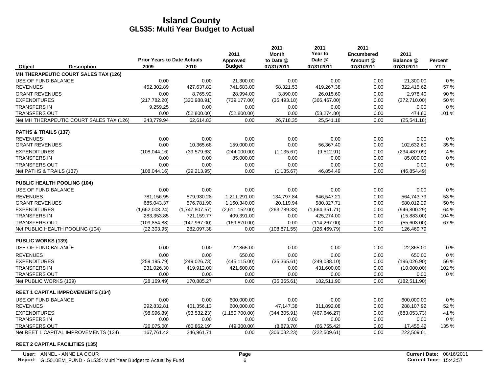|                            |                                          |                                            |                | 2011                      | 2011<br><b>Month</b>    | 2011<br>Year to      | 2011<br><b>Encumbered</b> | 2011                    |                       |
|----------------------------|------------------------------------------|--------------------------------------------|----------------|---------------------------|-------------------------|----------------------|---------------------------|-------------------------|-----------------------|
| Object                     | <b>Description</b>                       | <b>Prior Years to Date Actuals</b><br>2009 | 2010           | Approved<br><b>Budget</b> | to Date @<br>07/31/2011 | Date @<br>07/31/2011 | Amount @<br>07/31/2011    | Balance @<br>07/31/2011 | Percent<br><b>YTD</b> |
|                            | MH THERAPEUTIC COURT SALES TAX (126)     |                                            |                |                           |                         |                      |                           |                         |                       |
| USE OF FUND BALANCE        |                                          | 0.00                                       | 0.00           | 21,300.00                 | 0.00                    | 0.00                 | 0.00                      | 21,300.00               | $0\%$                 |
| <b>REVENUES</b>            |                                          | 452,302.89                                 | 427,637.82     | 741,683.00                | 58,321.53               | 419,267.38           | 0.00                      | 322,415.62              | 57 %                  |
| <b>GRANT REVENUES</b>      |                                          | 0.00                                       | 8,765.92       | 28.994.00                 | 3,890.00                | 26.015.60            | 0.00                      | 2,978.40                | 90%                   |
| <b>EXPENDITURES</b>        |                                          | (217, 782.20)                              | (320, 988.91)  | (739, 177.00)             | (35, 493.18)            | (366, 467.00)        | 0.00                      | (372, 710.00)           | 50 %                  |
| <b>TRANSFERS IN</b>        |                                          | 9,259.25                                   | 0.00           | 0.00                      | 0.00                    | 0.00                 | 0.00                      | 0.00                    | $0\%$                 |
| <b>TRANSFERS OUT</b>       |                                          | 0.00                                       | (52,800.00)    | (52,800.00)               | 0.00                    | (53, 274.80)         | 0.00                      | 474.80                  | 101 %                 |
|                            | Net MH THERAPEUTIC COURT SALES TAX (126) | 243,779.94                                 | 62,614.83      | 0.00                      | 26,718.35               | 25,541.18            | 0.00                      | (25, 541.18)            |                       |
| PATHS & TRAILS (137)       |                                          |                                            |                |                           |                         |                      |                           |                         |                       |
| <b>REVENUES</b>            |                                          | 0.00                                       | 0.00           | 0.00                      | 0.00                    | 0.00                 | 0.00                      | 0.00                    | $0\%$                 |
| <b>GRANT REVENUES</b>      |                                          | 0.00                                       | 10,365.68      | 159,000.00                | 0.00                    | 56,367.40            | 0.00                      | 102,632.60              | 35 %                  |
| <b>EXPENDITURES</b>        |                                          | (108, 044.16)                              | (39, 579.63)   | (244,000.00)              | (1, 135.67)             | (9,512.91)           | 0.00                      | (234, 487.09)           | 4 %                   |
| <b>TRANSFERS IN</b>        |                                          | 0.00                                       | 0.00           | 85,000.00                 | 0.00                    | 0.00                 | 0.00                      | 85,000.00               | $0\%$                 |
| TRANSFERS OUT              |                                          | 0.00                                       | 0.00           | 0.00                      | 0.00                    | 0.00                 | 0.00                      | 0.00                    | 0%                    |
| Net PATHS & TRAILS (137)   |                                          | (108, 044.16)                              | (29, 213.95)   | 0.00                      | (1, 135.67)             | 46,854.49            | 0.00                      | (46, 854.49)            |                       |
|                            | PUBLIC HEALTH POOLING (104)              |                                            |                |                           |                         |                      |                           |                         |                       |
| USE OF FUND BALANCE        |                                          | 0.00                                       | 0.00           | 0.00                      | 0.00                    | 0.00                 | 0.00                      | 0.00                    | 0%                    |
| <b>REVENUES</b>            |                                          | 781.156.95                                 | 879.930.28     | 1,211,291.00              | 134.797.84              | 646.547.21           | 0.00                      | 564.743.79              | 53 %                  |
| <b>GRANT REVENUES</b>      |                                          | 685,043.37                                 | 576,781.90     | 1,160,340.00              | 20,119.94               | 580,327.71           | 0.00                      | 580,012.29              | 50%                   |
| <b>EXPENDITURES</b>        |                                          | (1,662,003.24)                             | (1,747,807.57) | (2,611,152.00)            | (263, 789.33)           | (1,664,351.71)       | 0.00                      | (946, 800.29)           | 64 %                  |
| <b>TRANSFERS IN</b>        |                                          | 283,353.85                                 | 721,159.77     | 409,391.00                | 0.00                    | 425,274.00           | 0.00                      | (15,883.00)             | 104 %                 |
| <b>TRANSFERS OUT</b>       |                                          | (109, 854.88)                              | (147, 967.00)  | (169, 870.00)             | 0.00                    | (114, 267.00)        | 0.00                      | (55,603.00)             | 67%                   |
|                            | Net PUBLIC HEALTH POOLING (104)          | (22, 303.95)                               | 282,097.38     | 0.00                      | (108, 871.55)           | (126, 469.79)        | 0.00                      | 126,469.79              |                       |
| <b>PUBLIC WORKS (139)</b>  |                                          |                                            |                |                           |                         |                      |                           |                         |                       |
| <b>USE OF FUND BALANCE</b> |                                          | 0.00                                       | 0.00           | 22,865.00                 | 0.00                    | 0.00                 | 0.00                      | 22,865.00               | $0\%$                 |
| <b>REVENUES</b>            |                                          | 0.00                                       | 0.00           | 650.00                    | 0.00                    | 0.00                 | 0.00                      | 650.00                  | 0%                    |
| <b>EXPENDITURES</b>        |                                          | (259, 195.79)                              | (249, 026.73)  | (445, 115.00)             | (35, 365.61)            | (249,088.10)         | 0.00                      | (196, 026.90)           | 56 %                  |
| <b>TRANSFERS IN</b>        |                                          | 231,026.30                                 | 419,912.00     | 421,600.00                | 0.00                    | 431,600.00           | 0.00                      | (10,000.00)             | 102 %                 |
| <b>TRANSFERS OUT</b>       |                                          | 0.00                                       | 0.00           | 0.00                      | 0.00                    | 0.00                 | 0.00                      | 0.00                    | 0%                    |
| Net PUBLIC WORKS (139)     |                                          | (28, 169.49)                               | 170,885.27     | 0.00                      | (35, 365.61)            | 182,511.90           | 0.00                      | (182, 511.90)           |                       |
|                            | <b>REET 1 CAPITAL IMPROVEMENTS (134)</b> |                                            |                |                           |                         |                      |                           |                         |                       |
| USE OF FUND BALANCE        |                                          | 0.00                                       | 0.00           | 600,000.00                | 0.00                    | 0.00                 | 0.00                      | 600,000.00              | 0%                    |
| <b>REVENUES</b>            |                                          | 292,832.81                                 | 401,356.13     | 600,000.00                | 47,147.38               | 311,892.08           | 0.00                      | 288,107.92              | 52 %                  |
| <b>EXPENDITURES</b>        |                                          | (98,996.39)                                | (93, 532.23)   | (1, 150, 700.00)          | (344, 305.91)           | (467, 646.27)        | 0.00                      | (683,053.73)            | 41 %                  |
| <b>TRANSFERS IN</b>        |                                          | 0.00                                       | 0.00           | 0.00                      | 0.00                    | 0.00                 | 0.00                      | 0.00                    | $0\%$                 |
| <b>TRANSFERS OUT</b>       |                                          | (26.075.00)                                | (60, 862, 19)  | (49,300.00)               | (8,873.70)              | (66, 755.42)         | 0.00                      | 17,455.42               | 135 %                 |
|                            | Net REET 1 CAPITAL IMPROVEMENTS (134)    | 167,761.42                                 | 246,961.71     | 0.00                      | (306, 032.23)           | (222, 509.61)        | 0.00                      | 222,509.61              |                       |

#### **REET 2 CAPITAL FACILITIES (135)**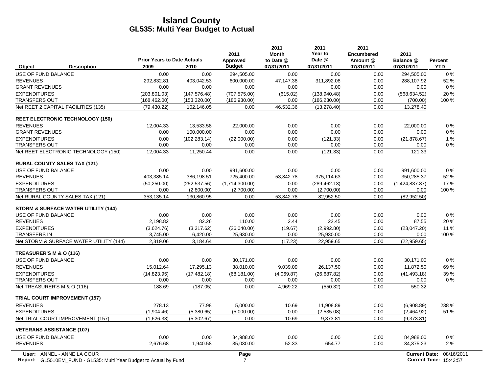|                                                | <b>Prior Years to Date Actuals</b> |               | 2011<br>Approved | 2011<br><b>Month</b><br>to Date @ | 2011<br>Year to<br>Date @ | 2011<br><b>Encumbered</b><br>Amount @ | 2011<br>Balance @    | Percent    |
|------------------------------------------------|------------------------------------|---------------|------------------|-----------------------------------|---------------------------|---------------------------------------|----------------------|------------|
| Object<br><b>Description</b>                   | 2009                               | 2010          | <b>Budget</b>    | 07/31/2011                        | 07/31/2011                | 07/31/2011                            | 07/31/2011           | <b>YTD</b> |
| USE OF FUND BALANCE                            | 0.00                               | 0.00          | 294,505.00       | 0.00                              | 0.00                      | 0.00                                  | 294,505.00           | $0\%$      |
| <b>REVENUES</b>                                | 292,832.81                         | 403,042.53    | 600,000.00       | 47,147.38                         | 311,892.08                | 0.00                                  | 288,107.92           | 52 %       |
| <b>GRANT REVENUES</b>                          | 0.00                               | 0.00          | 0.00             | 0.00                              | 0.00                      | 0.00                                  | 0.00                 | $0\%$      |
| <b>EXPENDITURES</b>                            | (203.801.03)                       | (147.576.48)  | (707.575.00)     | (615.02)                          | (138.940.48)              | 0.00                                  | (568.634.52)         | 20%        |
| <b>TRANSFERS OUT</b>                           | (168, 462.00)                      | (153, 320.00) | (186, 930.00)    | 0.00                              | (186, 230.00)             | 0.00                                  | (700.00)             | 100 %      |
| Net REET 2 CAPITAL FACILITIES (135)            | (79, 430.22)                       | 102,146.05    | 0.00             | 46,532.36                         | (13, 278.40)              | 0.00                                  | 13,278.40            |            |
| <b>REET ELECTRONIC TECHNOLOGY (150)</b>        |                                    |               |                  |                                   |                           |                                       |                      |            |
| <b>REVENUES</b>                                | 12,004.33                          | 13,533.58     | 22,000.00        | 0.00                              | 0.00                      | 0.00                                  | 22,000.00            | $0\%$      |
| <b>GRANT REVENUES</b>                          | 0.00                               | 100,000.00    | 0.00             | 0.00                              | 0.00                      | 0.00                                  | 0.00                 | $0\%$      |
| <b>EXPENDITURES</b>                            | 0.00                               | (102, 283.14) | (22,000.00)      | 0.00                              | (121.33)                  | 0.00                                  | (21, 878.67)         | 1%         |
| <b>TRANSFERS OUT</b>                           | 0.00                               | 0.00          | 0.00             | 0.00                              | 0.00                      | 0.00                                  | 0.00                 | $0\%$      |
| Net REET ELECTRONIC TECHNOLOGY (150)           | 12,004.33                          | 11,250.44     | 0.00             | 0.00                              | (121.33)                  | 0.00                                  | 121.33               |            |
| <b>RURAL COUNTY SALES TAX (121)</b>            |                                    |               |                  |                                   |                           |                                       |                      |            |
| USE OF FUND BALANCE                            | 0.00                               | 0.00          | 991,600.00       | 0.00                              | 0.00                      | 0.00                                  | 991,600.00           | $0\%$      |
| <b>REVENUES</b>                                | 403,385.14                         | 386,198.51    | 725,400.00       | 53,842.78                         | 375,114.63                | 0.00                                  | 350,285.37           | 52 %       |
| <b>EXPENDITURES</b>                            | (50, 250.00)                       | (252, 537.56) | (1,714,300.00)   | 0.00                              | (289, 462.13)             | 0.00                                  | (1,424,837.87)       | 17%        |
| <b>TRANSFERS OUT</b>                           | 0.00                               | (2,800.00)    | (2,700.00)       | 0.00                              | (2,700.00)                | 0.00                                  | 0.00                 | 100 %      |
| Net RURAL COUNTY SALES TAX (121)               | 353,135.14                         | 130,860.95    | 0.00             | 53,842.78                         | 82,952.50                 | 0.00                                  | (82,952.50)          |            |
| <b>STORM &amp; SURFACE WATER UTILITY (144)</b> |                                    |               |                  |                                   |                           |                                       |                      |            |
| USE OF FUND BALANCE                            | 0.00                               | 0.00          | 0.00             | 0.00                              | 0.00                      | 0.00                                  | 0.00                 | 0%         |
| <b>REVENUES</b>                                | 2,198.82                           | 82.26         | 110.00           | 2.44                              | 22.45                     | 0.00                                  | 87.55                | 20 %       |
| <b>EXPENDITURES</b>                            | (3,624.76)                         | (3,317.62)    | (26,040.00)      | (19.67)                           | (2,992.80)                | 0.00                                  | (23,047.20)          | 11 %       |
| <b>TRANSFERS IN</b>                            | 3,745.00                           | 6,420.00      | 25,930.00        | 0.00                              | 25,930.00                 | 0.00                                  | 0.00                 | 100 %      |
| Net STORM & SURFACE WATER UTILITY (144)        | 2,319.06                           | 3,184.64      | 0.00             | (17.23)                           | 22,959.65                 | 0.00                                  | (22,959.65)          |            |
| TREASURER'S M & O (116)                        |                                    |               |                  |                                   |                           |                                       |                      |            |
| USE OF FUND BALANCE                            | 0.00                               | 0.00          | 30.171.00        | 0.00                              | 0.00                      | 0.00                                  | 30.171.00            | $0\%$      |
| <b>REVENUES</b>                                | 15,012.64                          | 17,295.13     | 38,010.00        | 9,039.09                          | 26,137.50                 | 0.00                                  | 11,872.50            | 69%        |
| <b>EXPENDITURES</b>                            | (14, 823.95)                       | (17, 482.18)  | (68, 181.00)     | (4,069.87)                        | (26, 687.82)              | 0.00                                  | (41, 493, 18)        | 39 %       |
| <b>TRANSFERS OUT</b>                           | 0.00                               | 0.00          | 0.00             | 0.00                              | 0.00                      | 0.00                                  | 0.00                 | 0%         |
| Net TREASURER'S M & O (116)                    | 188.69                             | (187.05)      | 0.00             | 4,969.22                          | (550.32)                  | 0.00                                  | 550.32               |            |
| <b>TRIAL COURT IMPROVEMENT (157)</b>           |                                    |               |                  |                                   |                           |                                       |                      |            |
| <b>REVENUES</b>                                | 278.13                             | 77.98         | 5,000.00         | 10.69                             | 11,908.89                 | 0.00                                  | (6,908.89)           | 238 %      |
| <b>EXPENDITURES</b>                            | (1,904.46)                         | (5,380.65)    | (5,000.00)       | 0.00                              | (2,535.08)                | 0.00                                  | (2,464.92)           | 51 %       |
| Net TRIAL COURT IMPROVEMENT (157)              | (1,626.33)                         | (5,302.67)    | 0.00             | 10.69                             | 9,373.81                  | 0.00                                  | (9,373.81)           |            |
| <b>VETERANS ASSISTANCE (107)</b>               |                                    |               |                  |                                   |                           |                                       |                      |            |
| USE OF FUND BALANCE                            | 0.00                               | 0.00          | 84,988.00        | 0.00                              | 0.00                      | 0.00                                  | 84,988.00            | $0\%$      |
| <b>REVENUES</b>                                | 2,676.68                           | 1,940.58      | 35,030.00        | 52.33                             | 654.77                    | 0.00                                  | 34,375.23            | 2%         |
| User: ANNEL - ANNE LA COUR                     |                                    |               | Page             |                                   |                           |                                       | <b>Current Date:</b> | 08/16/2    |

**Report:** 7 **Current Time:** GL5010EM\_FUND - GL535: Multi Year Budget to Actual by Fund 15:43:57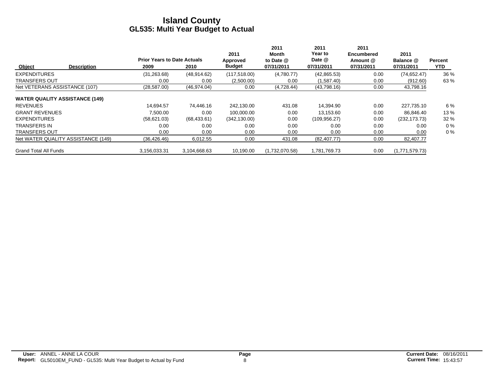|                                       | <b>Prior Years to Date Actuals</b> |              | 2011<br>Approved | 2011<br>Month<br>to Date @ | 2011<br>Year to<br>Date @ | 2011<br>Encumbered<br>Amount @ | 2011<br>Balance @ | <b>Percent</b> |
|---------------------------------------|------------------------------------|--------------|------------------|----------------------------|---------------------------|--------------------------------|-------------------|----------------|
| Object<br><b>Description</b>          | 2009                               | 2010         | <b>Budget</b>    | 07/31/2011                 | 07/31/2011                | 07/31/2011                     | 07/31/2011        | YTD.           |
| <b>EXPENDITURES</b>                   | (31, 263.68)                       | (48, 914.62) | (117,518.00)     | (4,780.77)                 | (42, 865.53)              | 0.00                           | (74, 652.47)      | 36 %           |
| <b>TRANSFERS OUT</b>                  | 0.00                               | 0.00         | (2,500.00)       | 0.00                       | (1,587.40)                | 0.00                           | (912.60)          | 63%            |
| Net VETERANS ASSISTANCE (107)         | (28,587.00)                        | (46, 974.04) | 0.00             | (4,728.44)                 | (43,798.16)               | 0.00                           | 43,798.16         |                |
| <b>WATER QUALITY ASSISTANCE (149)</b> |                                    |              |                  |                            |                           |                                |                   |                |
| <b>REVENUES</b>                       | 14.694.57                          | 74.446.16    | 242.130.00       | 431.08                     | 14,394.90                 | 0.00                           | 227,735.10        | 6 %            |
| <b>GRANT REVENUES</b>                 | 7.500.00                           | 0.00         | 100.000.00       | 0.00                       | 13.153.60                 | 0.00                           | 86,846.40         | 13%            |
| <b>EXPENDITURES</b>                   | (58,621.03)                        | (68, 433.61) | (342, 130.00)    | 0.00                       | (109, 956.27)             | 0.00                           | (232, 173, 73)    | 32 %           |
| <b>TRANSFERS IN</b>                   | 0.00                               | 0.00         | 0.00             | 0.00                       | 0.00                      | 0.00                           | 0.00              | $0\%$          |
| <b>TRANSFERS OUT</b>                  | 0.00                               | 0.00         | 0.00             | 0.00                       | 0.00                      | 0.00                           | 0.00              | $0\%$          |
| Net WATER QUALITY ASSISTANCE (149)    | (36, 426.46)                       | 6,012.55     | 0.00             | 431.08                     | (82, 407.77)              | 0.00                           | 82,407.77         |                |
| <b>Grand Total All Funds</b>          | 3.156.033.31                       | 3.104.668.63 | 10.190.00        | (1,732,070.58)             | 1.781.769.73              | 0.00                           | (1,771,579.73)    |                |